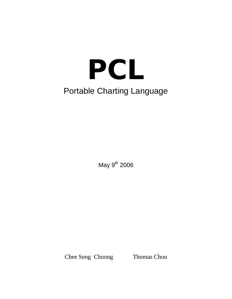# **PCL**  Portable Charting Language

May  $9^{th}$  2006

Chee Seng Choong Thomas Chou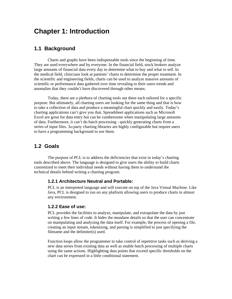# **Chapter 1: Introduction**

## **1.1 Background**

 Charts and graphs have been indispensable tools since the beginning of time. They are used everywhere and by everyone. In the financial field, stock brokers analyze large amounts of financial data every day to determine what to buy and what to sell. In the medical field, clinicians look at patients' charts to determine the proper treatment. In the scientific and engineering fields, charts can be used to analyze massive amounts of scientific or performance data gathered over time revealing to their users trends and anomalies that they couldn't have discovered through other means.

 Today, there are a plethora of charting tools out there each tailored for a specific purpose. But ultimately, all charting users are looking for the same thing and that is how to take a collection of data and produce a meaningful chart quickly and easily. Today's charting applications can't give you that. Spreadsheet applications such as Microsoft Excel are great for data entry but can be cumbersome when manipulating large amounts of data. Furthermore, it can't do batch processing - quickly generating charts from a series of input files. 3rd party charting libraries are highly configurable but require users to have a programming background to use them.

#### **1.2 Goals**

 The purpose of PCL is to address the deficiencies that exist in today's charting tools described above. The language is designed to give users the ability to build charts customized to meet their individual needs without having them to understand the technical details behind writing a charting program.

#### **1.2.1 Architecture Neutral and Portable:**

PCL is an interpreted language and will execute on top of the Java Virtual Machine. Like Java, PCL is designed to run on any platform allowing users to produce charts in almost any environment.

#### **1.2.2 Ease of use:**

PCL provides the facilities to analyze, manipulate, and extrapolate the data by just writing a few lines of code. It hides the mundane details so that the user can concentrate on manipulating and analyzing the data itself. For example, the process of opening a file, creating an input stream, tokenizing, and parsing is simplified to just specifying the filename and the delimiter(s) used.

Function loops allow the programmer to take control of repetitive tasks such as deriving a new data series from existing data as well as enable batch processing of multiple charts using the same actions. Highlighting data points that exceed specific thresholds on the chart can be expressed in a little conditional statement.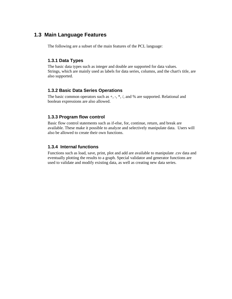# **1.3 Main Language Features**

The following are a subset of the main features of the PCL language:

#### **1.3.1 Data Types**

The basic data types such as integer and double are supported for data values. Strings, which are mainly used as labels for data series, columns, and the chart's title, are also supported.

#### **1.3.2 Basic Data Series Operations**

The basic common operators such as  $+, \frac{*}{}, \frac{*}{}, \frac{*}{}$ , and % are supported. Relational and boolean expressions are also allowed.

#### **1.3.3 Program flow control**

Basic flow control statements such as if-else, for, continue, return, and break are available. These make it possible to analyze and selectively manipulate data. Users will also be allowed to create their own functions.

#### **1.3.4 Internal functions**

Functions such as load, save, print, plot and add are available to manipulate .csv data and eventually plotting the results to a graph. Special validator and generator functions are used to validate and modify existing data, as well as creating new data series.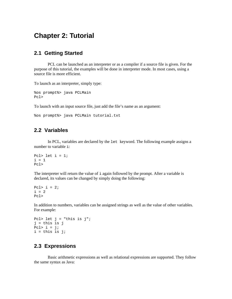# **Chapter 2: Tutorial**

#### **2.1 Getting Started**

 PCL can be launched as an interpreter or as a compiler if a source file is given. For the purpose of this tutorial, the examples will be done in interpreter mode. In most cases, using a source file is more efficient.

To launch as an interpreter, simply type:

```
%os prompt%> java PCLMain 
Pcl>
```
To launch with an input source file, just add the file's name as an argument:

```
%os prompt%> java PCLMain tutorial.txt
```
#### **2.2 Variables**

 In PCL, variables are declared by the let keyword. The following example assigns a number to variable i:

```
Pcl> let i = 1;
i = 1Pcl>
```
The interpreter will return the value of  $\pm$  again followed by the prompt. After a variable is declared, its values can be changed by simply doing the following:

Pcl>  $i = 2i$  $i = 2$ Pcl>

In addition to numbers, variables can be assigned strings as well as the value of other variables. For example:

```
Pcl> let j = "this is j";
j = this is j 
Pcl> i = j;
i = this is j;
```
# **2.3 Expressions**

 Basic arithmetic expressions as well as relational expressions are supported. They follow the same syntax as Java: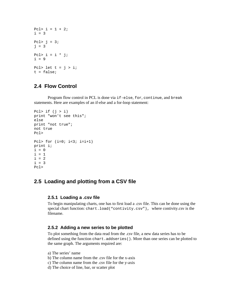```
Pcl> i = 1 + 2ii = 3Pcl> j = 3;j = 3Pcl> i = i * j;
i = 9Pcl> let t = j > i;
t = false;
```
## **2.4 Flow Control**

 Program flow control in PCL is done via if-else, for, continue, and break statements. Here are examples of an if-else and a for-loop statement:

```
Pcl> if (i > i)print "won't see this"; 
else 
print "not true"; 
not true 
Pcl> 
Pcl> for (i=0; i<3; i=i+1)print i; 
i = 0i = 1i = 2i = 3Pcl>
```
# **2.5 Loading and plotting from a CSV file**

#### **2.5.1 Loading a .csv file**

To begin manipulating charts, one has to first load a .csv file. This can be done using the special chart function: chart.load("contivity.csv"), where contivity.csv is the filename.

#### **2.5.2 Adding a new series to be plotted**

To plot something from the data read from the .csv file, a new data series has to be defined using the function chart.addseries(). More than one series can be plotted to the same graph. The arguments required are:

- a) The series' name
- b) The column name from the .csv file for the x-axis
- c) The column name from the .csv file for the y-axis
- d) The choice of line, bar, or scatter plot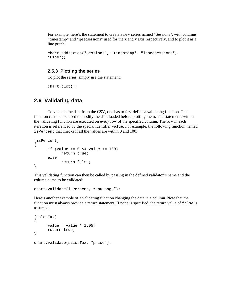For example, here's the statement to create a new series named "Sessions", with columns "timestamp" and "ipsecsessions" used for the x and y axis respectively, and to plot it as a line graph:

```
chart.addseries("Sessions", "timestamp", "ipsecsessions", 
"Line");
```
#### **2.5.3 Plotting the series**

To plot the series, simply use the statement:

chart.plot();

## **2.6 Validating data**

 To validate the data from the CSV, one has to first define a validating function. This function can also be used to modify the data loaded before plotting them. The statements within the validating function are executed on every row of the specified column. The row in each iteration is referenced by the special identifier value. For example, the following function named isPercent that checks if all the values are within 0 and 100:

```
[isPercent] 
{ 
      if (value >= 0 & walue <= 100)
              return true; 
       else 
              return false; 
}
```
This validating function can then be called by passing in the defined validator's name and the column name to be validated:

chart.validate(isPercent, "cpuusage");

Here's another example of a validating function changing the data in a column. Note that the function must always provide a return statement. If none is specified, the return value of false is assumed:

```
[salesTax]
{ 
      value = value * 1.05;
       return true; 
} 
chart.validate(salesTax, "price");
```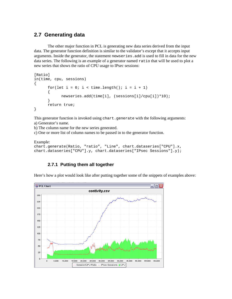# **2.7 Generating data**

 The other major function in PCL is generating new data series derived from the input data. The generator function definition is similar to the validator's except that it accepts input arguments. Inside the generator, the statement newseries.add is used to fill in data for the new data series. The following is an example of a generator named ratio that will be used to plot a new series that shows the ratio of CPU usage to IPsec sessions:

```
[Ratio] 
in(time, cpu, sessions) 
\left\{ \right.for(let i = 0; i < time.length(); i = i + 1)
      \{ newseries.add(time[i], (sessions[i]/cpu[i])*10); 
 } 
       return true; 
}
```
This generator function is invoked using chart.generate with the following arguments: a) Generator's name.

b) The column name for the new series generated.

c) One or more list of column names to be passed in to the generator function.

```
Example: 
chart.generate(Ratio, "ratio", "Line", chart.dataseries["CPU"].x, 
chart.dataseries["CPU"].y, chart.dataseries["IPsec Sessions"].y);
```
#### **2.7.1 Putting them all together**

Here's how a plot would look like after putting together some of the snippets of examples above:

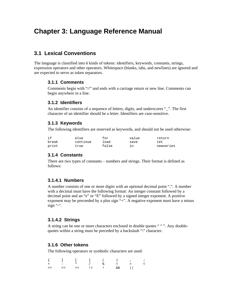# **Chapter 3: Language Reference Manual**

# **3.1 Lexical Conventions**

The language is classified into 6 kinds of tokens: identifiers, keywords, constants, strings, expression operators and other operators. Whitespace (blanks, tabs, and newlines) are ignored and are expected to serve as token separators.

#### **3.1.1 Comments**

Comments begin with "//" and ends with a carriage return or new line. Comments can begin anywhere in a line.

#### **3.1.2 Identifiers**

An identifier consists of a sequence of letters, digits, and underscores " $\dddot{ }$ ". The first character of an identifier should be a letter. Identifiers are case-sensitive.

#### **3.1.3 Keywords**

The following identifiers are reserved as keywords, and should not be used otherwise:

| if    | else     | for   | value | return    |
|-------|----------|-------|-------|-----------|
| break | continue | ⊥oad  | save  | let       |
| print | true     | false |       | newseries |

#### **3.1.4 Constants**

There are two types of constants – numbers and strings. Their format is defined as follows:

#### **3.1.4.1 Numbers**

A number consists of one or more digits with an optional decimal point ".". A number with a decimal must have the following format: An integer constant followed by a decimal point and an "e" or "E" followed by a signed integer exponent. A positive exponent may be preceeded by a plus sign "+". A negative exponent must have a minus sign "-".

#### **3.1.4.2 Strings**

A string can be one or more characters enclosed in double quotes " " ". Any doublequotes within a string must be preceded by a backslash "\" character.

#### **3.1.6 Other tokens**

The following operators or symbolic characters are used:

|  |  |  | $\{ \qquad \} \qquad [ \qquad ] \qquad ( \qquad ) \qquad , \qquad ;$ |  |
|--|--|--|----------------------------------------------------------------------|--|
|  |  |  |                                                                      |  |
|  |  |  |                                                                      |  |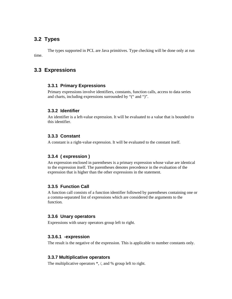# **3.2 Types**

 The types supported in PCL are Java primitives. Type checking will be done only at run time.

# **3.3 Expressions**

#### **3.3.1 Primary Expressions**

Primary expressions involve identifiers, constants, function calls, access to data series and charts, including expressions surrounded by "(" and ")".

#### **3.3.2 Identifier**

An identifier is a left-value expression. It will be evaluated to a value that is bounded to this identifier.

#### **3.3.3 Constant**

A constant is a right-value expression. It will be evaluated to the constant itself.

#### **3.3.4 ( expression )**

An expression enclosed in parentheses is a primary expression whose value are identical to the expression itself. The parentheses denotes precedence in the evaluation of the expression that is higher than the other expressions in the statement.

#### **3.3.5 Function Call**

A function call consists of a function identifier followed by parentheses containing one or a comma-separated list of expressions which are considered the arguments to the function.

#### **3.3.6 Unary operators**

Expressions with unary operators group left to right.

#### **3.3.6.1 -expression**

The result is the negative of the expression. This is applicable to number constants only.

#### **3.3.7 Multiplicative operators**

The multiplicative operators  $*, /$ , and % group left to right.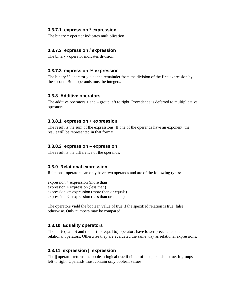#### **3.3.7.1 expression \* expression**

The binary \* operator indicates multiplication.

#### **3.3.7.2 expression / expression**

The binary / operator indicates division.

#### **3.3.7.3 expression % expression**

The binary % operator yields the remainder from the division of the first expression by the second. Both operands must be integers.

#### **3.3.8 Additive operators**

The additive operators  $+$  and  $-$  group left to right. Precedence is deferred to multiplicative operators.

#### **3.3.8.1 expression + expression**

The result is the sum of the expressions. If one of the operands have an exponent, the result will be represented in that format.

#### **3.3.8.2 expression – expression**

The result is the difference of the operands.

#### **3.3.9 Relational expression**

Relational operators can only have two operands and are of the following types:

```
expression > expression (more than) 
expression < expression (less than) 
expression \ge expression (more than or equals)expression <= expression (less than or equals)
```
The operators yield the boolean value of true if the specified relation is true; false otherwise. Only numbers may be compared.

#### **3.3.10 Equality operators**

The  $==$  (equal to) and the  $!=$  (not equal to) operators have lower precedence than relational operators. Otherwise they are evaluated the same way as relational expressions.

#### **3.3.11 expression || expression**

The || operator returns the boolean logical true if either of its operands is true. It groups left to right. Operands must contain only boolean values.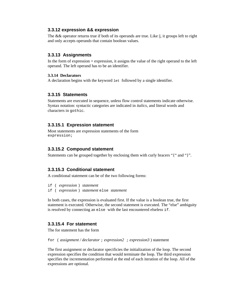#### **3.3.12 expression && expression**

The && operator returns true if both of its operands are true. Like  $\parallel$ , it groups left to right and only accepts operands that contain boolean values.

#### **3.3.13 Assignments**

In the form of expression = expression, it assigns the value of the right operand to the left operand. The left operand has to be an identifier.

#### **3.3.14 Declarators**

A declaration begins with the keyword let followed by a single identifier.

#### **3.3.15 Statements**

Statements are executed in sequence, unless flow control statements indicate otherwise. Syntax notation: syntactic categories are indicated in *italics*, and literal words and characters in gothic.

#### **3.3.15.1 Expression statement**

Most statements are expression statements of the form expression;

#### **3.3.15.2 Compound statement**

Statements can be grouped together by enclosing them with curly bracers "{" and "}".

#### **3.3.15.3 Conditional statement**

A conditional statement can be of the two following forms:

if ( *expression* ) *statement*  if ( *expression* ) *statement* else *statement* 

In both cases, the expression is evaluated first. If the value is a boolean true, the first statement is executed. Otherwise, the second statement is executed. The "else" ambiguity is resolved by connecting an else with the last encountered elseless if.

#### **3.3.15.4 For statement**

The for statement has the form

```
for ( assignment / declarator ; expression2 ; expression3 ) statement
```
The first assignment or declarator specificies the initialization of the loop. The second expression specifies the condition that would terminate the loop. The third expression specifies the incrementation performed at the end of each iteration of the loop. All of the expressions are optional.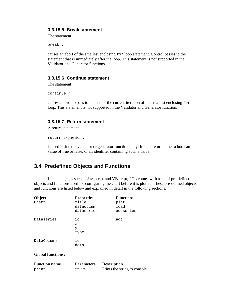#### **3.3.15.5 Break statement**

The statement

break ;

causes an abort of the smallest enclosing for loop statement. Control passes to the statement that is immediately after the loop. This statement is not supported in the Validator and Generator functions.

#### **3.3.15.6 Continue statement**

The statement

continue ;

causes control to pass to the end of the current iteration of the smallest enclosing for loop. This statement is not supported in the Validator and Generator function.

#### **3.3.15.7 Return statement**

A return statement,

return expression ;

is used inside the validator or generator function body. It must return either a boolean value of true or false, or an identifier containing such a value.

# **3.4 Predefined Objects and Functions**

 Like lanugages such as Javascript and VBscript, PCL comes with a set of pre-defined objects and functions used for configuring the chart before it is plotted. These pre-defined objects and functions are listed below and explained in detail in the following sections:

| Object<br>Chart          | <b>Properties</b><br>title<br>datacolumn<br>dataseries | <b>Functions</b><br>plot<br>load<br>addseries |
|--------------------------|--------------------------------------------------------|-----------------------------------------------|
| Dataseries               | id<br>X<br>У<br>type                                   | add                                           |
| DataColumn               | id<br>data                                             |                                               |
| <b>Global functions:</b> |                                                        |                                               |

| <b>Function name</b> | <b>Parameters</b> | <b>Description</b>           |
|----------------------|-------------------|------------------------------|
| print                | string            | Prints the string to console |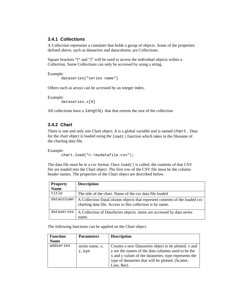#### **3.4.1 Collections**

A Collection represents a container that holds a group of objects. Some of the properties defined above, such as dataseries and datacolumn, are Collections.

Square brackets "[" and "]" will be used to access the individual objects within a Collection. Some Collections can only be accessed by using a string.

Example:

dataseries["series name"]

Others such as arrays can be accessed by an integer index.

Example: dataseries.x[0]

All collections have a length() that that returns the size of the collection

#### **3.4.2 Chart**

There is one and only one Chart object. It is a global variable and is named chart. Data for the chart object is loaded using the load() function which takes in the filename of the charting data file.

Example:

chart.load("c:\mydatafile.csv");

The data file must be in a csv format. Once load() is called, the contents of that CSV file are loaded into the Chart object. The first row of the CSV file must be the column header names. The properties of the Chart object are described below.

| <b>Property</b> | <b>Description</b>                                                                                                                     |
|-----------------|----------------------------------------------------------------------------------------------------------------------------------------|
| <b>Name</b>     |                                                                                                                                        |
| title           | The title of the chart. Name of the csv data file loaded                                                                               |
| datacolumn      | A Collection DataColumn objects that represent contents of the loaded csv<br>charting data file. Access to this collection is by name. |
| dataseries      | A Collection of DataSeries objects. items are accessed by data series<br>name.                                                         |

The following functions can be applied on the Chart object.

| <b>Function</b> | <b>Parameters</b> | <b>Description</b>                                    |
|-----------------|-------------------|-------------------------------------------------------|
| <b>Name</b>     |                   |                                                       |
| addseries       | series name, x,   | Creates a new Dataseries object to be plotted. x and  |
|                 | y, type           | y are the names of the data columns used to be the    |
|                 |                   | x and y values of the dataseries. type represents the |
|                 |                   | type of dataseries that will be plotted. (Scatter,    |
|                 |                   | Line, Bar).                                           |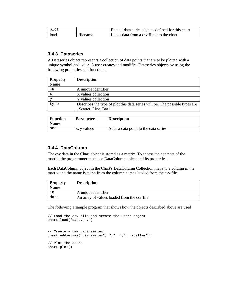| plot |          | Plot all data series objects defined for this chart |
|------|----------|-----------------------------------------------------|
| load | filename | Loads data from a csy file into the chart           |

#### **3.4.3 Dataseries**

A Dataseries object represents a collection of data points that are to be plotted with a unique symbol and color. A user creates and modifies Dataseries objects by using the following properties and functions.

| <b>Property</b> | <b>Description</b>                                                          |
|-----------------|-----------------------------------------------------------------------------|
| <b>Name</b>     |                                                                             |
| id              | A unique identifier                                                         |
| $\mathbf x$     | X values collection                                                         |
|                 | Y values collection                                                         |
| type            | Describes the type of plot this data series will be. The possible types are |
|                 | {Scatter, Line, Bar}                                                        |

| <b>Function</b><br><b>Name</b> | <b>Parameters</b> | <b>Description</b>                   |
|--------------------------------|-------------------|--------------------------------------|
| add                            | y values<br>х.    | Adds a data point to the data series |

#### **3.4.4 DataColumn**

The csv data in the Chart object is stored as a matrix. To access the contents of the matrix, the programmer must use DataColumn object and its properties.

Each DataColumn object in the Chart's DataColumn Collection maps to a column in the matrix and the name is taken from the column names loaded from the csv file.

| <b>Property</b> | <b>Description</b>                          |
|-----------------|---------------------------------------------|
| <b>Name</b>     |                                             |
| ıa              | A unique identifier                         |
| data            | An array of values loaded from the csy file |

The following a sample program that shows how the objects described above are used

```
// Load the csv file and create the Chart object 
chart.load("data.csv") 
// Create a new data series 
chart.addseries("new series", "x", "y", "scatter"); 
// Plot the chart 
chart.plot()
```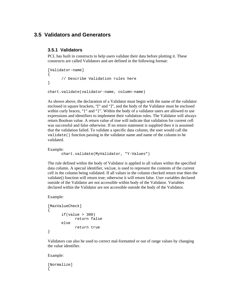## **3.5 Validators and Generators**

#### **3.5.1 Validators**

PCL has built in constructs to help users validate their data before plotting it. These constructs are called Validators and are defined in the following format:

```
[Validator-name] 
{ 
       // Describe Validation rules here 
} 
chart.validate(validator-name, column-name)
```
As shown above, the declaration of a Validator must begin with the name of the validator enclosed in square brackets, "[" and "]", and the body of the Validator must be enclosed within curly braces, "{" and "}". Within the body of a validator users are allowed to use expressions and identifiers to implement their validation rules. The Validator will always return Boolean value. A return value of true will indicate that validation for current cell was successful and false otherwise. If no return statement is supplied then it is assumed that the validation failed. To validate a specific data column, the user would call the validate() function passing in the validator name and name of the column to be validated.

Example:

```
chart.validate(MyValidator, "Y-Values")
```
The rule defined within the body of Validator is applied to all values within the specified data column. A special identifier, value, is used to represent the contents of the current cell in the column being validated. If all values in the column checked return true then the validate() function will return true; otherwise it will return false. User variables declared outside of the Validator are not accessible within body of the Validator. Variables declared within the Validator are not accessible outside the body of the Validator.

Example:

```
[MaxValueCheck] 
{ 
       if(value > 300) return false 
        else 
               return true 
}
```
Validators can also be used to correct mal-formatted or out of range values by changing the value identifier.

Example:

[Normalize]  $\left\{ \right.$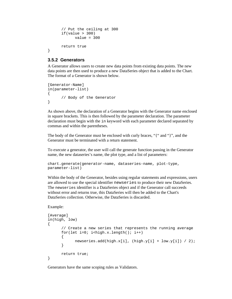```
 // Put the ceiling at 300 
if(value > 300)value = 300 return true
```
#### **3.5.2 Generators**

}

A Generator allows users to create new data points from existing data points. The new data points are then used to produce a new DataSeries object that is added to the Chart. The format of a Generator is shown below.

```
[Generator-Name] 
in(parameter-list) 
\{ // Body of the Generator 
}
```
As shown above, the declaration of a Generator begins with the Generator name enclosed in square brackets. This is then followed by the parameter declaration. The parameter declaration must begin with the in keyword with each parameter declared separated by commas and within the parentheses.

The body of the Generator must be enclosed with curly braces, "{" and "}", and the Generator must be terminated with a return statement.

To execute a generator, the user will call the generate function passing in the Generator name, the new dataseries's name, the plot type, and a list of parameters:

```
chart.generate(generator-name, dataseries-name, plot-type, 
parameter-list)
```
Within the body of the Generator, besides using regular statements and expressions, users are allowed to use the special identifier newseries to produce their new DataSeries. The newseries identifier is a DataSeries object and if the Generator call succeeds without error and returns true, this DataSeries will then be added to the Chart's DataSeries collection. Otherwise, the DataSeries is discarded.

Example:

```
[Average] 
in(high, low) 
{ 
       // Create a new series that represents the running average 
      for(let i=0; i -high.x.length(); i++) { 
              newseries.add(high.x[i], (high.y[i] + low.y[i]) / 2); 
       } 
       return true; 
}
```
Generators have the same scoping rules as Validators.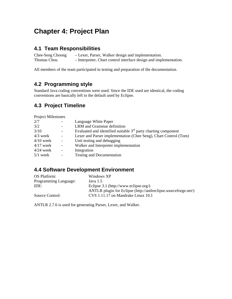# **Chapter 4: Project Plan**

# **4.1 Team Responsibilities**

Chee-Seng Choong – Lexer, Parser, Walker design and implementation. Thomas Chou – Interpreter, Chart control interface design and implementation.

All members of the team participated in testing and preparation of the documentation.

# **4.2 Programming style**

Standard Java coding conventions were used. Since the IDE used are identical, the coding conventions are basically left to the default used by Eclipse.

# **4.3 Project Timeline**

Project Milestones

| 2/7         |                          | Language White Paper                                             |
|-------------|--------------------------|------------------------------------------------------------------|
| 3/2         |                          | LRM and Grammar definition                                       |
| 3/10        |                          | Evaluated and identified suitable $3rd$ party charting component |
| $4/3$ week  | $\overline{\phantom{0}}$ | Lexer and Parser implementation (Chee Seng), Chart Control (Tom) |
| $4/10$ week | $\overline{\phantom{a}}$ | Unit testing and debugging                                       |
| $4/17$ week | $\overline{a}$           | Walker and Interpreter implementation                            |
| $4/24$ week | $\overline{a}$           | Integration                                                      |
| $5/1$ week  | $\overline{\phantom{a}}$ | <b>Testing and Documentation</b>                                 |
|             |                          |                                                                  |

# **4.4 Software Development Environment**

| OS Platform:          | Windows XP                                                      |
|-----------------------|-----------------------------------------------------------------|
| Programming Language: | Java $1.5$                                                      |
| IDE:                  | Eclipse 3.1 (http://www.eclipse.org/)                           |
|                       | ANTLR plugin for Eclipse (http://antlreclipse.sourceforge.net/) |
| Source Control:       | CVS 1.11.17 on Mandrake Linux 10.1                              |

ANTLR 2.7.6 is used for generating Parser, Lexer, and Walker.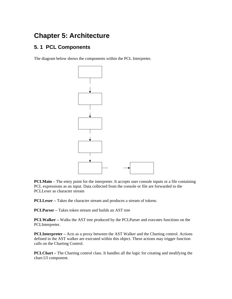# **Chapter 5: Architecture**

# **5. 1 PCL Components**

The diagram below shows the components within the PCL Interpreter.



**PCLMain** – The entry point for the interpreter. It accepts user console inputs or a file containing PCL expressions as an input. Data collected from the console or file are forwarded to the PCLLexer as character stream

**PCLLexer** – Takes the character stream and produces a stream of tokens.

**PCLParser –** Takes token stream and builds an AST tree

**PCLWalker –** Walks the AST tree produced by the PCLParser and executes functions on the PCLInterpreter.

**PCLInterpreter –** Acts as a proxy between the AST Walker and the Charting control. Actions defined in the AST walker are executed within this object. These actions may trigger function calls on the Charting Control.

**PCLChart –** The Charting control class. It handles all the logic for creating and modifying the chart.UI component.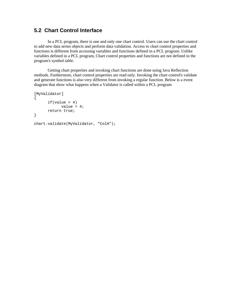# **5.2 Chart Control Interface**

 In a PCL program, there is one and only one chart control. Users can use the chart control to add new data series objects and perform data validation. Access to chart control properties and functions is different from accessing variables and functions defined in a PCL program. Unlike variables defined in a PCL program, Chart control properties and functions are not defined in the program's symbol table.

 Getting chart properties and invoking chart functions are done using Java Reflection methods. Furthermore, chart control properties are read only. Invoking the chart control's validate and generate functions is also very different from invoking a regular function. Below is a event diagram that show what happens when a Validator is called within a PCL program

```
[MyValidator] 
{ 
      if(value > 4) value = 4; 
       return true; 
} 
chart.validate(MyValidator, "ColA");
```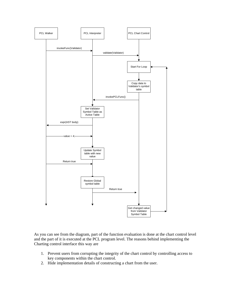

As you can see from the diagram, part of the function evaluation is done at the chart control level and the part of it is executed at the PCL program level. The reasons behind implementing the Charting control interface this way are

- 1. Prevent users from corrupting the integrity of the chart control by controlling access to key components within the chart control.
- 2. Hide implementation details of constructing a chart from the user.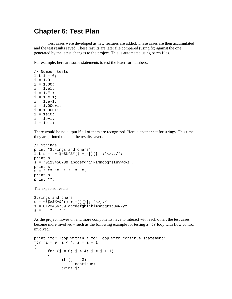# **Chapter 6: Test Plan**

 Test cases were developed as new features are added. These cases are then accumulated and the test results saved. These results are later file compared (using fc) against the one generated by the latest changes to the project. This is automated using batch files.

For example, here are some statements to test the lexer for numbers:

```
// Number tests 
let i = 0;i = 1.0;i = 1.00;
i = 1.e1;i = 1.E1;i = 1.e+1;i = 1.e-1;i = 1.00e+1;i = 1.00E + 1;i = 1e10;i = 1e + 1ii = 1e-1;
```
There would be no output if all of them are recognized. Here's another set for strings. This time, they are printed out and the results saved.

```
// Strings 
print "Strings and chars"; 
let s = "~.044$%^&*()-+_=[]{}|;:'<>,./";
print s; 
s = "0123456789 abcdefghijklmnopqrstuvwxyz"; 
print s; 
S = " "" "" "" "" "" "";
print s; 
print "";
```
The expected results:

```
Strings and chars 
s = ~!@#$%^&*()-+_=[]{}|;:'<>,./ 
s = 0123456789 abcdefghijklmnopgrstuvwxyz
S = " " " " " " " " "
```
As the project moves on and more components have to interact with each other, the test cases become more involved – such as the following example for testing a for loop with flow control involved:

```
print "for loop within a for loop with continue statement"; 
for (i = 0; i < 4; i = i + 1){ 
      for (j = 0; j < 4; j = j + 1) { 
            if (j == 2) continue; 
             print j;
```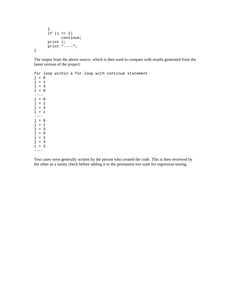```
 } 
       if (i == 2) continue; 
        print i; 
        print "----"; 
}
```
 $---$ 

The output from the above source, which is then used to compare with results generated from the latest version of the project:

for loop within a for loop with continue statement  $j = 0$  $j = 1$  $j = 3$  $i = 0$ ---  $j = 0$  $j = 1$ j = 3 i = 1 ---  $j = 0$  $j = 1$  $j = 3$  $j = 0$  $j = 1$ j = 3 i = 3

Test cases were generally written by the person who created the code. This is then reviewed by the other as a sanity check before adding it to the permanent test suite for regression testing.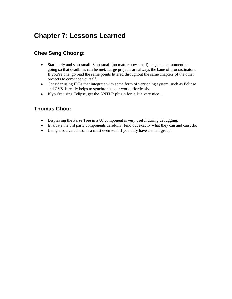# **Chapter 7: Lessons Learned**

# **Chee Seng Choong:**

- Start early and start small. Start small (no matter how small) to get some momentum going so that deadlines can be met. Large projects are always the bane of procrastinators. If you're one, go read the same points littered throughout the same chapters of the other projects to convince yourself.
- Consider using IDEs that integrate with some form of versioning system, such as Eclipse and CVS. It really helps to synchronize our work effortlessly.
- If you're using Eclipse, get the ANTLR plugin for it. It's very nice...

# **Thomas Chou:**

- Displaying the Parse Tree in a UI component is very useful during debugging.
- Evaluate the 3rd party components carefully. Find out exactly what they can and can't do.
- Using a source control is a must even with if you only have a small group.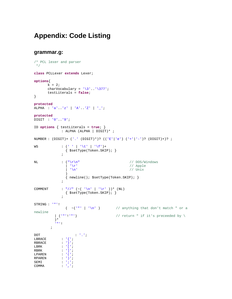# **Appendix: Code Listing**

#### **grammar.g:**

```
/* PCL lexer and parser
  */
class PCLLexer extends Lexer; 
options{ 
       k = 2icharVocabulary = \sqrt{3}..\sqrt{377};
         testLiterals = false; 
} 
protected
ALPHA : 'a'..'z' | 'A'..'Z' | '_'; 
protected
DIGIT : '0'..'9'; 
ID options { testLiterals = true; } 
                 : ALPHA (ALPHA | DIGIT)* ; 
NUMBER : (DIGIT) + ('.' (DIGIT) *)? (('E'|'e') ('+'|'-')? (DIGIT)+)? ;
WS : (''') | ' \tt \t''] \t' \tt''] \t' \tt' { $setType(Token.SKIP); } 
\mathcal{L}^{\text{max}}NL : (\sqrt[n]{r}\sqrt{n}) // DOS/Windows
                                                           // Apple<br>// Unix
                   | '\chir' \vert \quad \vert \quad \chi ) 
                    { newline(); $setType(Token.SKIP); } 
\mathcal{L}^{\text{max}}COMMENT
                 : "//" ({\sim} ( '\n' | '\r' ))* (NL)
\{ $setType(Token.SKIP); \}\mathcal{L}^{\text{max}}STRING : '"'!<br>
(\sim(^{+}"' | \cdot \setminus n')
                                                \frac{1}{2} anything that don't match " or a
newline
            \vert ('"'!'"') \vert // return " if it's preceeded by \
             )* 
             '"'! 
          \mathcal{I}DOT : '.'; 
LBRACE : \{ \cdot \}RBRACE : '}';
LBRK : \left| \begin{array}{ccc} \cdot & \cdot & \cdot \end{array} \right|RBRK : ']';<br>LPAREN : '(';
\begin{array}{lll} \text{LPAREN} & : & ! \; ( \; ' \; ; \; \; \text{RPAREN} & : & ! \; ( \; ' \; ; \; \; \text{RPAREN} & : & ! \; ) \; ' \; ; \end{array}RPAREN
SEMI : \cdot ; \cdot;
COMMA : ',';
```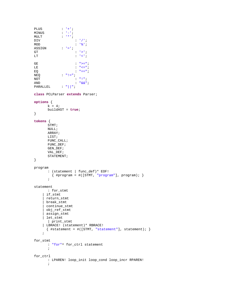```
PLUS : '+'; 
MINUS : '-'; 
MULT : '*'; 
\begin{array}{ccc} \text{DIV} & & \cdot & \cdot / \cdot ; \\ \text{MOD} & & \cdot & \cdot \cdot * \cdot ; \end{array}MOD : '%';<br>ASSIGN : '=';
\begin{array}{ccc} \text{ASSIGN} & & \cdot & \cdot & =': \ \text{GT} & & & \end{array}GT : '>';<br>LT : '<';
                              \mathbb{E} \left[ \begin{array}{c} 1 & 0 \\ 0 & 1 \end{array} \right]GE : ">=";LE C = " \, z = " \, iEQ \qquad \qquad : \qquad \qquad = \qquad \qquad :NEQ : "!=";<br>NOT :
\begin{array}{ccc}\n\text{NOT} & \cdot & \cdot & \cdot & \cdot & \cdot \\
\text{AND} & \cdot & \cdot & \cdot & \cdot & \cdot \delta\mathcal{E}^{\text{}}\n\end{array}AND : "&&v";<br>PARALLEL : "||" ;\mathbb{P}[\mathbb{P}_p^{\mathbb{P}_p} \mid \mathbb{P}_q^{\mathbb{P}_p}]class PCLParser extends Parser; 
options { 
         k = 4; buildAST = true; 
} 
tokens { 
         STMT; 
          NULL; 
          ARRAY; 
          LIST; 
          FUNC_CALL; 
          FUNC_DEF; 
          GEN_DEF; 
          VAL_DEF; 
         STATEMENT;
} 
program 
          : (statement | func_def)* EOF! 
             \{ #program = #([STMT, "program"], program); \} ; 
statement 
         : for_stmt 
        | if_stmt 
        | return_stmt 
       | break_stmt 
        | continue_stmt 
        | obj_ref_stmt 
       | assign_stmt 
       | let_stmt 
         | print_stmt 
       | LBRACE! (statement)* RBRACE! 
        \{ #statement = #([STMT, "statement"], statement); \} ; 
for_stmt 
         : "for"^ for_ctrl statement 
           ; 
for_ctrl 
           : LPAREN! loop_init loop_cond loop_incr RPAREN! 
           ;
```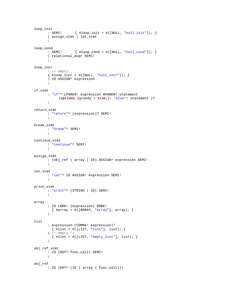```
loop_init 
          : SEMI! { #loop_init = #([NULL, "null_init"]); } 
          | assign_stmt | let_stmt
           ; 
loop_cond 
         : SEMI! \{ #loop\_cond = #([NULL, "null\_cond"]); \} | relational_expr SEMI! 
\mathcal{L}^{\mathcal{L}}loop_incr 
          : // empty
          \{ #loop\_incr = #([NULL, "null\_incr"]); \} | ID ASSIGN^ expression 
\mathcal{L}^{\mathcal{L}}if_stmt 
           : "if"^ LPAREN! expression RPAREN! statement 
                 (options {greedy = true;}: "else"! statement )? 
           ; 
return_stmt 
          : "return"^ (expression)? SEMI! 
           ; 
break_stmt 
          : "break"^ SEMI! 
          ; 
continue_stmt 
          : "continue"^ SEMI! 
           ; 
assign_stmt 
         : (obj_ref | array | ID) ASSIGN^ expression SEMI!
           ; 
let_stmt 
          : "let"^ ID ASSIGN! expression SEMI! 
           ; 
print_stmt 
          : "print"^ (STRING | ID) SEMI! 
\mathcal{L}^{\text{max}}array 
           : ID LBRK! (expression) RBRK! 
           \{ \text{#array} = \#([ \text{ARRAY}, \text{ "array"}], \text{ array}; \} ; 
list 
           : expression (COMMA! expression)* 
            \{ #list = #([LIST, "list"], list); \} | /* empty */
          {\frac{1}{2}} {\frac{1}{2}} {\frac{1}{2}} {\frac{1}{2}} {\frac{1}{2}} {\frac{1}{2}} {\frac{1}{2}} {\frac{1}{2}} {\frac{1}{2}} {\frac{1}{2}} {\frac{1}{2}} {\frac{1}{2}} {\frac{1}{2}} {\frac{1}{2}} {\frac{1}{2}} {\frac{1}{2}} {\frac{1}{2}} {\frac{1}{2}} {\frac{1}{2}} {\frac{1}{2}} {\frac{1}{2}} {\frac{1}{2}} \mathcal{L}^{\mathcal{L}}obj_ref_stmt 
          : ID (DOT^ func_call) SEMI! 
\mathcal{L}^{\mathcal{L}}obj_ref 
        : ID (DOT^ (ID | array | func_call))+
```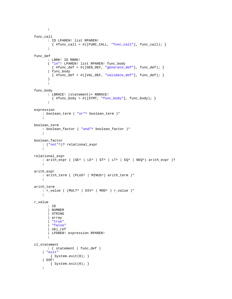```
func_call 
        : ID LPAREN! list RPAREN! 
         \{ #func_call = #([FUNC_CALL, "func_call"], func_call); \} ; 
func_def 
        : LBRK! ID RBRK! 
         ( "in"! LPAREN! list RPAREN! func_body 
          \{ #func_def = #([GEN_DEF, "generate_def"], func_def); \} | func_body 
          {\{\text{#func\_def} = \#([VAL\_DEF, "validate\_def",\text{ func\_def});\} ) 
         ; 
func_body 
         : LBRACE! (statement)+ RBRACE! 
         \{ #func_body = #([STMT, "func_body"], func_body); \}\mathcal{L}^{\mathcal{L}}expression 
     : boolean_term ( "or"^ boolean_term )* 
      ; 
boolean_term 
     : boolean_factor ( "and"^ boolean_factor )* 
      ; 
boolean_factor 
     : ("not"^)? relational_expr 
      ; 
relational_expr 
    : arith\_expr ( GET^{\wedge} | LE^ | GT^ | LT^ | EQ^ | NEQ^) arith_expr )?
      ; 
arith_expr 
    : arith_term ( (PLUS^ | MINUS^) arith_term )*
      ; 
arith_term 
     : r_value ( (MULT^ | DIV^ | MOD^ ) r_value )* 
      ; 
r_value 
        : ID 
         | NUMBER 
         | STRING 
         | array 
          | "true"
          | "false"
          | obj_ref 
         | LPAREN! expression RPAREN! 
\mathcal{L}^{\mathcal{L}}cl_statement 
        : ( statement | func_def ) 
      | "exit"
        \{ System.exit(0); \} | EOF! 
         { System.exit(0); } 
      ;
```
 $\mathbf{i}$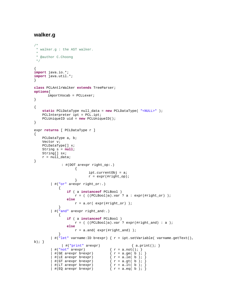# **walker.g**

```
/*
  * walker.g : the AST walker.
 *
  * @author C.Choong
  */
{ 
import java.io.*; 
import java.util.*; 
} 
class PCLAntlrWalker extends TreeParser; 
options{ 
         importVocab = PCLLexer; 
} 
{ 
      static PCLDataType null_data = new PCLDataType( "<NULL>" ); 
      PCLInterpreter ipt = PCL.ipt; 
      PCLUniqueID uid = new PCLUniqueID(); 
} 
expr returns [ PCLDataType r ] 
{ 
      PCLDataType a, b; 
      Vector v; 
      PCLDataType[] x; 
      String s = null; 
      String[] sx; 
     r = null_data;
} 
                  : #(DOT a=expr right_op:.) 
\{ ipt.currentObj = a; 
                                  r = \exp(r(\# \text{right\_op}); } 
           | #("or" a=expr right_or:.) 
                { 
                     if ( a instanceof PCLBool ) 
                         r = ( ( (PCLBool)a).var ? a : expr("tripht_or) );
                     else
                         r = a.or( expr(#right_or) );
 } 
            | #("and" a=expr right_and:.) 
\{ if ( a instanceof PCLBool ) 
                         r = ( ((PCLBool)a).var ? expr(#right_and) : a );
                     else
                         r = a.and( expr(#right_and) );
 } 
          | \#("let" varname: ID b=expr) { r = ipt.setVariable(varname.getText(),b) ; \}| #("print" a=expr) \{ a.print(); \}<br>not" a=expr) \{ r = a.not(); \}| #("not" a=expr)
            #(GE a=expr b=expr)<br>#(LE a=expr b=expr)
            # (GE = expr b = expr)<br>
# (LE = a = expr b = expr)<br>
# (GT = a = expr b = expr)<br>
# (GT = a = expr b) = (r = a, qt(b))\{ r = a.get(b) ; \}<br>\{ r = a.lt(b) ; \}| #(LT a=expr b=expr)
           \left| \begin{array}{cc} \#(EQ \text{ a}=\text{expr} \text{ b}=\text{expr}) \end{array} \right| \left\{ \begin{array}{cc} r = a \text{ .eq} \end{array} \right| b \left| \begin{array}{cc} r \end{array} \right|
```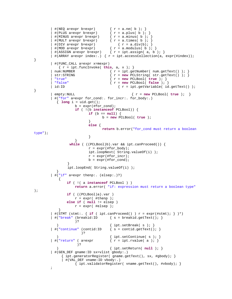```
| #(NEQ a=expr b=expr) \{ r = a.ne(\ b) \}<br>| #(PLUS a=expr b=expr) \{ r = a. \text{plus}(\ b) \}{ r = a.plus( b ); }<br>{ r = a.minus( b ); }#(MINUS a=expr b=expr)
           #(MULT a=expr b=expr) \{ r = a.times(l b) \}\begin{array}{ll}\n\text{#(DIV a=expr b=expr)} & \{ r = a.div(b); \} \\
\text{#(MOD a=expr b=expr)} & \{ r = a.modulus( b) ; \} \n\end{array}#(MOD a=expr b=expr)<br>#(ASSIGN a=expr b=expr)
                                               \{ r = \text{ipt.assign}(\ a, b) \; ; \; \}| #(ARRAY a=expr index:.) { r = \text{ipt}.\text{accessCollection}(a, \text{ expr}(\text{#index}));} 
           | #(FUNC_CALL a=expr x=mexpr) 
              \{ r = \text{ipt.funcInvoke}( \text{ this}, a, x) \}num:NUMBER \{ r = \text{ipt.getNumber}( num.getText()) \}; \text{str:STRING} \{ r = new PCLString(str.getText()) \}; \}str:STRING \{ r = new PCLString( str.getText()) ; \}<br>"true" \{ r = new PCLBool ( true ) ; \} | "true" { r = new PCLBool( true ); } 
           | "false" { r = new PCLBool( false ); } 
                                                     \{ r = \text{ipt.getVariable}( id.getText()) \}} 
             | empty:NULL { r = new PCLBool( true ); } 
             | #("for" a=expr for_cond:. for_incr:. for_body:.) 
               { long i = uid.get(); 
                         b = expr(Hfor\_cond); if ( !(b instanceof PCLBool)) { 
                                   if (b == null) { 
                                           b = new PCLBool( true ); 
 } 
                                   else { 
                                            return b.error("for_cond must return a boolean 
type"); 
 } 
 } 
                       while ( ((PCLBool)b).var && ipt.canProceed()) { 
                                  r = \exp(r \mid \text{ffor\_body});
                                   ipt.loopNext( String.valueOf(i) ); 
                                  r = \exp(r \mid \text{ffor\_incr});
                                  b = expr(Hfor\_cond); } 
                      ipt.loopEnd( String.valueOf(i) ); 
 } 
           | #("if" a=expr thenp:. (elsep:.)?) 
\{ if ( !( a instanceof PCLBool ) ) 
                          return a.error( "if: expression must return a boolean type"
); 
                     if ( ((PCLBool)a).var ) 
                         r = \exp(r + t \cdot \text{thenp});
                     else if ( null != elsep ) 
                         r = exp(r) #elsep );
 } 
          | #(STMT (stmt: { if ( ipt.canProceed() ) r = \exp(r(\# \text{stmt})i) )*)
          | #("break" (breakid:ID \{ s = breakid.getText(); \} )? 
              ) \{ \text{ipt.setBreak( s )}: \}| #("continue" (contid:ID \{ s = \text{contid.getText}(t) \} )? 
          )<br>
\begin{array}{c} \begin{array}{c} \end{array} \begin{array}{c} \end{array}<br>
\begin{array}{c} \end{array} \begin{array}{c} \end{array} \begin{array}{c} \end{array} \begin{array}{c} \end{array} \begin{array}{c} \end{array} \begin{array}{c} \end{array} \begin{array}{c} \end{array} \begin{array}{c} \end{array} \begin{array}{c} \end{array} \begin{array}{c} \end{array} \begin{array}{c} \end{array} \begin{array}{c} \end{array} \begin\{ r = \text{ipt.rvalue}( a) ; \} )? 
               ) { ipt.setReturn( null ); } 
           | #(GEN_DEF gname:ID sx=vlist gbody:.) 
                 { ipt.generatorReqister( qname.getText(), sx, #qbody); }
                  | #(VAL_DEF vname:ID vbody:.) 
                          { ipt.validatorRegister( vname.getText(), #vbody); } 
\mathcal{L}^{\text{max}}_{\text{max}}
```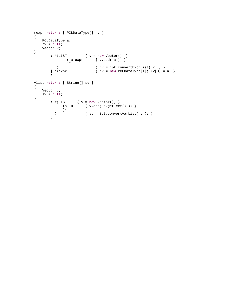```
mexpr returns [ PCLDataType[] rv ] 
{ 
    PCLDataType a; 
   rv = null;
    Vector v; 
} 
 : #(LIST { v = new Vector(); } 
(a=expr \{ v.add(a)) \} )* 
) \{ rv = \text{ipt.convertExprList( } v ) \}\begin{cases} \text{a}=\text{expr} \end{cases} { \text{rv}=\text{new} PCLDataType[1]; \text{rv}[0]=a; }
        ; 
vlist returns [ String[] sv ] 
{ 
    Vector v; 
    sv = null; 
} 
 : #(LIST { v = new Vector(); } 
(s:ID \qquad \{ v.add( s.getText() ) \} )* 
         ) { sv = ipt.convertVarList( v ); } 
        ;
```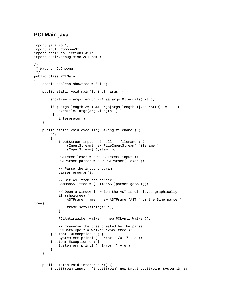## **PCLMain.java**

```
import java.io.*; 
import antlr.CommonAST; 
import antlr.collections.AST; 
import antlr.debug.misc.ASTFrame; 
/* 
  * @author C.Choong 
 */ 
public class PCLMain 
{ 
    static boolean showtree = false;
     public static void main(String[] args) { 
         showtree = args.length >=1 && args[0].equals("-t"); 
        if ( args.length >= 1 && args[args.length-1].charAt(0) != '-')execFile( args[args.length-1] );
         else 
             interpreter(); 
     } 
     public static void execFile( String filename ) { 
         try 
         { 
             InputStream input = ( null != filename ) ? 
                 (InputStream) new FileInputStream( filename ) : 
                 (InputStream) System.in; 
             PCLLexer lexer = new PCLLexer( input ); 
            PCLParser parser = new PCLParser( lexer );
             // Parse the input program 
             parser.program(); 
             // Get AST from the parser 
             CommonAST tree = (CommonAST)parser.getAST(); 
             // Open a window in which the AST is displayed graphically 
             if (showtree) { 
                 ASTFrame frame = new ASTFrame("AST from the Simp parser", 
tree); 
                 frame.setVisible(true); 
 } 
             PCLAntlrWalker walker = new PCLAntlrWalker(); 
             // Traverse the tree created by the parser 
            PCLDataType r = walker.expr( tree );
         } catch( IOException e ) { 
             System.err.println( "Error: I/O: " + e ); 
 } catch( Exception e ) { 
 System.err.println( "Error: " + e ); 
 } 
     } 
     public static void interpreter() { 
         InputStream input = (InputStream) new DataInputStream( System.in );
```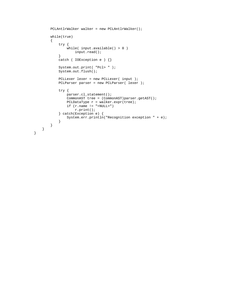```
 PCLAntlrWalker walker = new PCLAntlrWalker(); 
         while(true) 
         { 
             try { 
                 while( input.available() > 0 ) 
            input.read();<br>}
 } 
             catch ( IOException e ) {} 
             System.out.print( "Pcl> " ); 
             System.out.flush(); 
             PCLLexer lexer = new PCLLexer( input ); 
             PCLParser parser = new PCLParser( lexer ); 
             try { 
                 parser.cl_statement(); 
                 CommonAST tree = (CommonAST)parser.getAST(); 
                PCLDataType r = \text{walker}.\text{expr}(\text{tree}):if (r.name != "< NULL>") r.print(); 
             } catch(Exception e) { 
                  System.err.println("Recognition exception " + e); 
             } 
        } 
    }
```
}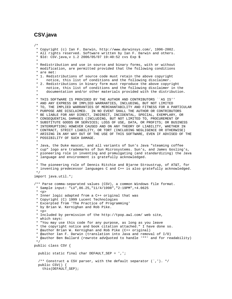# **CSV.java**

/\* \* Copyright (c) Ian F. Darwin, http://www.darwinsys.com/, 1996-2002. \* All rights reserved. Software written by Ian F. Darwin and others. \* \$Id: CSV.java,v 1.2 2006/05/07 19:40:52 cvs Exp \$ \* \* Redistribution and use in source and binary forms, with or without \* modification, are permitted provided that the following conditions \* are met: \* 1. Redistributions of source code must retain the above copyright notice, this list of conditions and the following disclaimer. \* 2. Redistributions in binary form must reproduce the above copyright notice, this list of conditions and the following disclaimer in the \* documentation and/or other materials provided with the distribution. \* \* THIS SOFTWARE IS PROVIDED BY THE AUTHOR AND CONTRIBUTORS ``AS IS'' \* AND ANY EXPRESS OR IMPLIED WARRANTIES, INCLUDING, BUT NOT LIMITED \* TO, THE IMPLIED WARRANTIES OF MERCHANTABILITY AND FITNESS FOR A PARTICULAR \* PURPOSE ARE DISCLAIMED. IN NO EVENT SHALL THE AUTHOR OR CONTRIBUTORS \* BE LIABLE FOR ANY DIRECT, INDIRECT, INCIDENTAL, SPECIAL, EXEMPLARY, OR \* CONSEQUENTIAL DAMAGES (INCLUDING, BUT NOT LIMITED TO, PROCUREMENT OF \* SUBSTITUTE GOODS OR SERVICES; LOSS OF USE, DATA, OR PROFITS; OR BUSINESS \* INTERRUPTION) HOWEVER CAUSED AND ON ANY THEORY OF LIABILITY, WHETHER IN \* CONTRACT, STRICT LIABILITY, OR TORT (INCLUDING NEGLIGENCE OR OTHERWISE) \* ARISING IN ANY WAY OUT OF THE USE OF THIS SOFTWARE, EVEN IF ADVISED OF THE \* POSSIBILITY OF SUCH DAMAGE. \* \* Java, the Duke mascot, and all variants of Sun's Java "steaming coffee \* cup" logo are trademarks of Sun Microsystems. Sun's, and James Gosling's, \* pioneering role in inventing and promulgating (and standardizing) the Java \* language and environment is gratefully acknowledged. \* \* The pioneering role of Dennis Ritchie and Bjarne Stroustrup, of AT&T, for \* inventing predecessor languages C and C++ is also gratefully acknowledged. \*/ import java.util.\*; /\*\* Parse comma-separated values (CSV), a common Windows file format. \* Sample input: "LU",86.25,"11/4/1998","2:19PM",+4.0625 \* <p> \* Inner logic adapted from a C++ original that was \* Copyright (C) 1999 Lucent Technologies \* Excerpted from 'The Practice of Programming' \* by Brian W. Kernighan and Rob Pike.  $*$   $< p >$  \* Included by permission of the http://tpop.awl.com/ web site, \* which says: \* "You may use this code for any purpose, as long as you leave \* the copyright notice and book citation attached." I have done so. \* @author Brian W. Kernighan and Rob Pike (C++ original) \* @author Ian F. Darwin (translation into Java and removal of I/O) \* @author Ben Ballard (rewrote advQuoted to handle '""' and for readability) \*/ public class CSV { public static final char DEFAULT\_SEP = ',';  $/**$  Construct a CSV parser, with the default separator  $( \cdot, \cdot ). *$  public CSV() { this(DEFAULT\_SEP);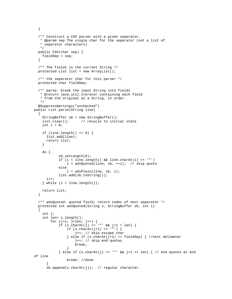```
 } 
   /** Construct a CSV parser with a given separator. 
    * @param sep The single char for the separator (not a list of 
    * separator characters) 
    */ 
   public CSV(char sep) { 
    fieldSep = sep; 
   } 
   /** The fields in the current String */ 
   protected List list = new ArrayList(); 
   /** the separator char for this parser */ 
  protected char fieldSep; 
   /** parse: break the input String into fields 
    * @return java.util.Iterator containing each field 
    * from the original as a String, in order. 
    */ 
   @SuppressWarnings("unchecked") 
public List parse(String line) 
  { 
     StringBuffer sb = new StringBuffer(); 
    list.clear(); // recycle to initial state
    int i = 0;
    if (line.length() == 0) {
       list.add(line); 
       return list; 
     } 
     do { 
             sb.setLength(0); 
             if (i < line.length() && line.charAt(i) == '"') 
                i = advQuoted(line, sb, ++i); // skip quote
             else 
                 i = advPlain(line, sb, i); list.add(sb.toString()); 
      i++;
     } while (i < line.length()); 
    return list; 
   } 
   /** advQuoted: quoted field; return index of next separator */ 
  protected int advQuoted(String s, StringBuffer sb, int i) 
\{ int j; 
     int len= s.length(); 
        for (j=i; j<1en; j++) {
             if (s.charAt(j) == '"' && j+1 < len) { 
                 if (s.\text{char}At(i+1) == '") {
                      j++; // skip escape char 
                 \} else if (s.charAt(j+1) == fieldSep) { //next delimeter
                      j++; // skip end quotes 
                      break; 
 } 
             } else if (s.charAt(j) == "" & & j+1 == len) { // end quotes at end
of line 
                 break; //done 
 } 
       sb.append(s.charAt(j)); // regular character.
```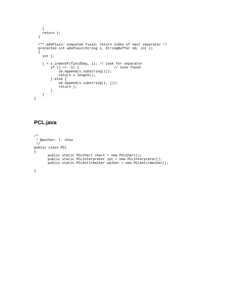```
 } 
    return j; 
   } 
   /** advPlain: unquoted field; return index of next separator */ 
  protected int advPlain(String s, StringBuffer sb, int i) 
   { 
     int j; 
     j = s.indexOf(fieldSep, i); // look for separator 
        if (j == -1) { // none found
             sb.append(s.substring(i)); 
             return s.length(); 
         } else { 
             sb.append(s.substring(i, j)); 
             return j; 
         } 
     } 
}
```
# **PCL.java**

```
/* 
 * @author: T. Chou 
  */ 
public class PCL 
{ 
        public static PCLChart chart = new PCLChart(); 
        public static PCLInterpreter ipt = new PCLInterpreter(); 
        public static PCLAntlrWalker walker = new PCLAntlrWalker(); 
}
```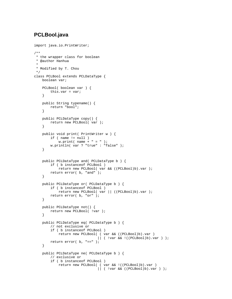# **PCLBool.java**

```
import java.io.PrintWriter; 
/** 
 * the wrapper class for boolean 
  * @author Hanhua 
 * 
  * Modified by T. Chou 
  */ 
class PCLBool extends PCLDataType { 
    boolean var; 
     PCLBool( boolean var ) { 
         this.var = var; 
     } 
     public String typename() { 
        return "bool"; 
     } 
     public PCLDataType copy() { 
         return new PCLBool( var ); 
     } 
     public void print( PrintWriter w ) { 
         if ( name != null ) 
             w.print( name + " = " );
         w.println( var ? "true" : "false" ); 
     } 
     public PCLDataType and( PCLDataType b ) { 
         if ( b instanceof PCLBool ) 
             return new PCLBool( var && ((PCLBool)b).var ); 
         return error( b, "and" ); 
     } 
     public PCLDataType or( PCLDataType b ) { 
         if ( b instanceof PCLBool ) 
             return new PCLBool( var || ((PCLBool)b).var ); 
         return error( b, "or" ); 
     } 
     public PCLDataType not() { 
         return new PCLBool( !var ); 
     } 
     public PCLDataType eq( PCLDataType b ) { 
         // not exclusive or 
         if ( b instanceof PCLBool ) 
              return new PCLBool( ( var && ((PCLBool)b).var ) 
                                  || ( !var && !((PCLBool)b).var ) ); 
         return error( b, "==" ); 
     } 
     public PCLDataType ne( PCLDataType b ) { 
         // exclusive or 
         if ( b instanceof PCLBool ) 
              return new PCLBool( ( var && !((PCLBool)b).var ) 
                                   || ( !var && ((PCLBool)b).var ) );
```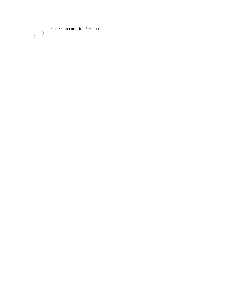```
 return error( b, "!=" ); 
 } 
}
```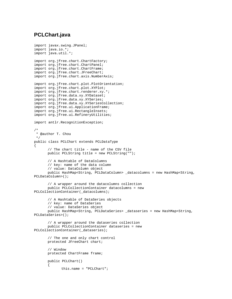## **PCLChart.java**

```
import javax.swing.JPanel; 
import java.io.*; 
import java.util.*; 
import org.jfree.chart.ChartFactory;
import org.jfree.chart.ChartPanel; 
import org.jfree.chart.ChartFrame; 
import org.jfree.chart.JFreeChart; 
import org.jfree.chart.axis.NumberAxis; 
import org.jfree.chart.plot.PlotOrientation; 
import org.jfree.chart.plot.XYPlot; 
import org.jfree.chart.renderer.xy.*; 
import org.jfree.data.xy.XYDataset; 
import org.jfree.data.xy.XYSeries; 
import org.jfree.data.xy.XYSeriesCollection; 
import org.jfree.ui.ApplicationFrame; 
import org.jfree.ui.RectangleInsets; 
import org.jfree.ui.RefineryUtilities;
import antlr.RecognitionException; 
/* 
  * @author T. Chou 
 */ 
public class PCLChart extends PCLDataType 
{ 
        // The chart title - name of the CSV file 
       public PCLString title = new PCLString(""); 
       // A Hashtable of DataColumns 
       // key: name of the data column 
       // value: DataColumn object 
       public HashMap<String, PCLDataColumn> _datacolumns = new HashMap<String, 
PCLDataColumn>(); 
        // A wrapper around the datacolumns collection 
       public PCLCollectionContainer datacolumns = new 
PCLCollectionContainer(_datacolumns); 
        // A Hashtable of DataSeries objects 
        // key: name of DataSeries 
        // value: DataSeries object 
       public HashMap<String, PCLDataSeries> _dataseries = new HashMap<String, 
PCLDataSeries>(); 
        // A wrapper around the dataseries collection 
       public PCLCollectionContainer dataseries = new 
PCLCollectionContainer(_dataseries); 
        // The one and only chart control 
       protected JFreeChart chart; 
        // Window 
       protected ChartFrame frame; 
       public PCLChart() 
        { 
               this.name = "PCLChart";
```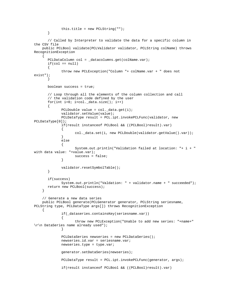```
 this.title = new PCLString(""); 
       } 
       // Called by Interpreter to validate the data for a specific column in 
the CSV file 
    public PCLBool validate(PCLValidator validator, PCLString colName) throws 
RecognitionException 
     { 
       PCLDataColumn col = _datacolumns.get(colName.var); 
      if(col == null) { 
              throw new PCLException("Column "+ colName.var + " does not 
exist"); 
       } 
       boolean success = true; 
       // Loop through all the elements of the column collection and call 
       // the validation code defined by the user 
      for(int i=0; i<col._data.size(); i++)
       { 
              PCLDouble value = col._data.get(i); 
              validator.setValue(value); 
              PCLDataType result = PCL.ipt.invokePCLFunc(validator, new 
PCLDataType[0]); 
              if(result instanceof PCLBool && ((PCLBool)result).var) 
\{col._data.set(i, new PCLDouble(validator.getValue().var));
 } 
              else 
\{ System.out.println("Validation failed at location: "+ i + " 
with data value: "+value.var); 
             success = false;
 } 
              validator.resetSymbolTable(); 
       } 
       if(success) 
              System.out.println("Valdation: " + validator.name + " succeeded"); 
       return new PCLBool(success); 
     } 
    // Generate a new data series 
    public PCLBool generate(PCLGenerator generator, PCLString seriesname, 
PCLString type, PCLDataType args[]) throws RecognitionException 
     { 
              if(_dataseries.containsKey(seriesname.var)) 
              { 
                     throw new PCLException("Unable to add new series: "+name+" 
\r\n DataSeries name already used"); 
 } 
              PCLDataSeries newseries = new PCLDataSeries(); 
              newseries.id.var = seriesname.var; 
              newseries.type = type.var; 
              generator.setDataSeries(newseries); 
              PCLDataType result = PCL.ipt.invokePCLFunc(generator, args); 
              if(result instanceof PCLBool && ((PCLBool)result).var)
```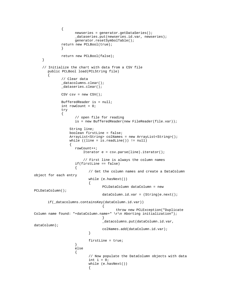```
\{ newseries = generator.getDataSeries(); 
                  _dataseries.put(newseries.id.var, newseries); 
                  generator.resetSymbolTable(); 
            return new PCLBool(true); 
 } 
            return new PCLBool(false); 
    } 
    // Initialize the chart with data from a CSV file 
      public PCLBool load(PCLString file) 
\{ // Clear data 
             _datacolumns.clear(); 
             _dataseries.clear(); 
           CSV \text{csv} = \text{new } \text{CSV}();
            BufferedReader is = null; 
             int rowCount = 0; 
             try 
\{ // open file for reading 
                   is = new BufferedReader(new FileReader(file.var)); 
                String line; 
                boolean firstLine = false; 
                ArrayList<String> colNames = new ArrayList<String>(); 
               while ( (line = is. readLine()) != null)
{
                  rowCount++; 
                      Iterator e = csv.parse(line).iterator(); 
                      // First line is always the column names 
                   if(firstLine == false) 
\{ // Get the column names and create a DataColumn 
object for each entry 
                        while (e.hasNext()) 
\{ PCLDataColumn dataColumn = new 
PCLDataColumn(); 
                              dataColumn.id.var = (String)e.next();
       if(_datacolumns.containsKey(dataColumn.id.var)) 
\{ throw new PCLException("Duplicate 
Column name found: "+dataColumn.name+" \r\n Aborting initialization"); 
 } 
                               _datacolumns.put(dataColumn.id.var, 
dataColumn); 
                               colNames.add(dataColumn.id.var); 
 } 
                  firstLine = true;<br>}
 } 
                  else 
\{ // Now populate the DataColumn objects with data 
                       int i = 0;
                        while (e.hasNext()) 
\{
```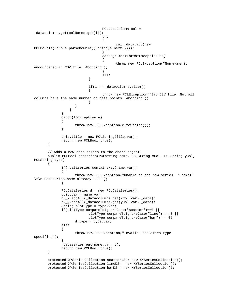```
 PCLDataColumn col = 
_datacolumns.get(colNames.get(i)); 
 try 
\{ col._data.add(new 
PCLDouble(Double.parseDouble((String)e.next()))); 
 } 
                            catch(NumberFormatException ne) 
\{ throw new PCLException("Non-numeric 
encountered in CSV file. Aborting"); 
 } 
i++; } 
                      if(i != _datacolums.size())\{ throw new PCLException("Bad CSV file. Not all 
columns have the same number of data points. Aborting"); 
 } 
 } 
 } 
 } 
            catch(IOException e) 
\{ throw new PCLException(e.toString()); 
 } 
            this.title = new PCLString(file.var); 
            return new PCLBool(true); 
      } 
      // Adds a new data series to the chart object 
      public PCLBool addseries(PCLString name, PCLString xCol, PCLString yCol, 
PCLString type) 
      { 
            if(_dataseries.containsKey(name.var)) 
\{ throw new PCLException("Unable to add new series: "+name+" 
\r\n DataSeries name already used"); 
 } 
            PCLDataSeries d = new PCLDataSeries(); 
           d.id.var = name.var;d. x.addAll( datacolumns.get(xCol.var). data);
            d._y.addAll(_datacolumns.get(yCol.var)._data); 
            String plotType = type.var; 
            if(plotType.compareToIgnoreCase("scatter")==0 || 
                       plotType.compareToIgnoreCase("line") == 0 || 
                       plotType.compareToIgnoreCase("bar") == 0) 
                 d.type = type.var; 
            else 
\{ throw new PCLException("Invalid DataSeries type 
specified"); 
 } 
            _dataseries.put(name.var, d); 
            return new PCLBool(true); 
      } 
      protected XYSeriesCollection scatterDS = new XYSeriesCollection(); 
      protected XYSeriesCollection lineDS = new XYSeriesCollection(); 
      protected XYSeriesCollection barDS = new XYSeriesCollection();
```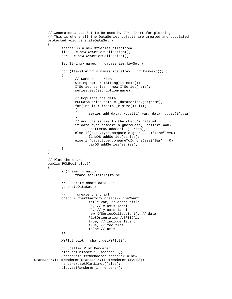```
 // Generates a DataSet to be used by JFreeChart for plotting 
       // This is where all the DataSeries objects are created and populated 
       protected void generateDataSet() 
\{ scatterDS = new XYSeriesCollection(); 
              lineDS = new XYSeriesCollection(); 
              barDS = new XYSeriesCollection(); 
              Set<String> names = _dataseries.keySet(); 
             for (Iterator it = names.iterator(); it.hasNext(); )
\{ // Name the series 
                     String name = (String)it.next(); 
                     XYSeries series = new XYSeries(name); 
                     series.setDescription(name); 
                     // Populate the data 
                     PCLDataSeries data = _dataseries.get(name); 
                    for(int i=0; i <data._x.size(); i++)
\{ series.add(data._x.get(i).var, data._y.get(i).var); 
 } 
                     // Add the series to the chart's DataSet 
                     if(data.type.compareToIgnoreCase("Scatter")==0) 
                            scatterDS.addSeries(series); 
                     else if(data.type.compareToIgnoreCase("Line")==0) 
                            lineDS.addSeries(series); 
                     else if(data.type.compareToIgnoreCase("Bar")==0) 
                            barDS.addSeries(series); 
 } 
       } 
       // Plot the chart 
       public PCLBool plot() 
       { 
              if(frame != null) 
                     frame.setVisible(false); 
              // Generate chart data set 
              generateDataSet(); 
              // create the chart... 
              chart = ChartFactory.createXYLineChart( 
                            title.var, // chart title 
                            "", // x axis label 
                            "", // y axis label 
                            new XYSeriesCollection(), // data 
                            PlotOrientation.VERTICAL, 
                            true, // include legend 
                            true, // tooltips 
                            false // urls 
              ); 
              XYPlot plot = chart.getXYPlot(); 
              // Scatter Plot Renderer 
              plot.setDataset(1, scatterDS); 
              StandardXYItemRenderer renderer = new 
StandardXYItemRenderer(StandardXYItemRenderer.SHAPES); 
              renderer.setPlotLines(false); 
              plot.setRenderer(1, renderer);
```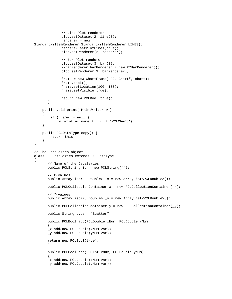```
 // Line Plot renderer 
               plot.setDataset(2, lineDS); 
               renderer = new 
StandardXYItemRenderer(StandardXYItemRenderer.LINES); 
               renderer.setPlotLines(true); 
               plot.setRenderer(2, renderer); 
               // Bar Plot renderer 
               plot.setDataset(3, barDS); 
               XYBarRenderer barRenderer = new XYBarRenderer(); 
               plot.setRenderer(3, barRenderer); 
               frame = new ChartFrame("PCL Chart", chart); 
               frame.pack(); 
               frame.setLocation(100, 100); 
               frame.setVisible(true); 
               return new PCLBool(true); 
        } 
     public void print( PrintWriter w ) 
     { 
        if ( name := null )
            w.println( name + " = "+ "PCLChart");
     } 
     public PCLDataType copy() { 
         return this; 
     } 
} 
// The DataSeries object 
class PCLDataSeries extends PCLDataType 
{ 
        // Name of the DataSeries 
        public PCLString id = new PCLString(""); 
        // X-values 
        public ArrayList<PCLDouble> _x = new ArrayList<PCLDouble>(); 
       public PCLCollectionContainer x = new PCLCollectionContainer(\_ x); // Y-values 
        public ArrayList<PCLDouble> _y = new ArrayList<PCLDouble>(); 
       public PCLCollectionContainer y = new PCLCollectionContainer(y); public String type = "Scatter"; 
        public PCLBool add(PCLDouble xNum, PCLDouble yNum) 
        { 
        _x.add(new PCLDouble(xNum.var)); 
        _y.add(new PCLDouble(yNum.var)); 
        return new PCLBool(true); 
 } 
        public PCLBool add(PCLInt xNum, PCLDouble yNum) 
\{ _x.add(new PCLDouble(xNum.var)); 
        _y.add(new PCLDouble(yNum.var));
```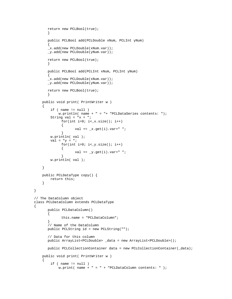```
 return new PCLBool(true); 
       } 
       public PCLBool add(PCLDouble xNum, PCLInt yNum) 
\{ _x.add(new PCLDouble(xNum.var)); 
       _y.add(new PCLDouble(yNum.var)); 
       return new PCLBool(true); 
       } 
       public PCLBool add(PCLInt xNum, PCLInt yNum) 
\{ _x.add(new PCLDouble(xNum.var)); 
       _y.add(new PCLDouble(yNum.var)); 
       return new PCLBool(true); 
 } 
    public void print( PrintWriter w ) 
\{ if ( name != null ) 
           w.println( name + " = "+ "PCLDataSeries contents: ");String val = "x = ";
             for(int i=0; i < x.size(); i++)\{val += x.get(i).var+" ";}
 } 
        w.println( val ); 
       val = "y = ";
             for(int i=0; i<_y.size(); i++)
\{val += y.get(i).var + " "; } 
        w.println( val ); 
    } 
    public PCLDataType copy() { 
        return this; 
     } 
// The DataColumn object 
class PCLDataColumn extends PCLDataType 
       public PCLDataColumn() 
       { 
              this.name = "PCLDataColumn"; 
       } 
       // Name of the DataColumn 
       public PCLString id = new PCLString(""); 
       // Data for this column 
       public ArrayList<PCLDouble> _data = new ArrayList<PCLDouble>(); 
       public PCLCollectionContainer data = new PCLCollectionContainer(_data); 
    public void print( PrintWriter w ) 
     { 
       if ( name != null )
           w.print( name + " = " + "PCLDataColumn contents: " );
```
}

{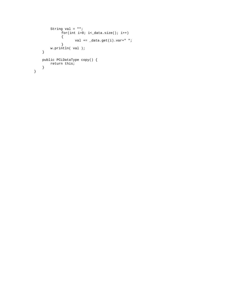```
 String val = ""; 
            for(int i=0; i<_{data.size(); i++) { 
                   val += _data.get(i).var+" "; 
 } 
 w.println( val ); 
    } 
    public PCLDataType copy() { 
       return this; 
    } 
}
```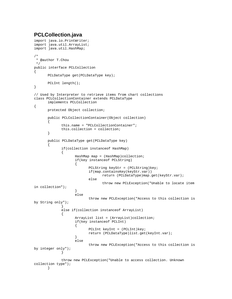# **PCLCollection.java**

```
import java.io.PrintWriter; 
import java.util.ArrayList; 
import java.util.HashMap; 
/* 
  * @author T.Chou 
  */ 
public interface PCLCollection 
{ 
       PCLDataType get(PCLDataType key); 
       PCLInt length(); 
} 
// Used by Interpreter to retrieve items from chart collections 
class PCLCollectionContainer extends PCLDataType 
       implements PCLCollection 
{ 
       protected Object collection; 
       public PCLCollectionContainer(Object collection) 
       { 
              this.name = "PCLCollectionContainer"; 
              this.collection = collection; 
       } 
       public PCLDataType get(PCLDataType key) 
\{ if(collection instanceof HashMap) 
\{ HashMap map = (HashMap)collection; 
                    if(key instanceof PCLString) 
\{ PCLString keyStr = (PCLString)key; 
                           if(map.containsKey(keyStr.var)) 
                                 return (PCLDataType)map.get(keyStr.var); 
                           else 
                                 throw new PCLException("Unable to locate item 
in collection"); 
 } 
                    else 
                           throw new PCLException("Access to this collection is 
by String only"); 
 } 
              else if(collection instanceof ArrayList) 
\{ ArrayList list = (ArrayList)collection; 
                    if(key instanceof PCLInt) 
\{ PCLInt keyInt = (PCLInt)key; 
                           return (PCLDataType)list.get(keyInt.var); 
 } 
                    else 
                           throw new PCLException("Access to this collection is 
by integer only"); 
 } 
              throw new PCLException("Unable to access collection. Unknown 
collection type"); 
       }
```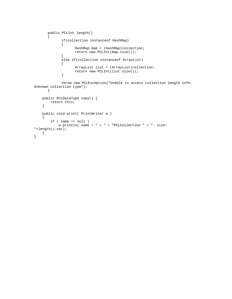```
 public PCLInt length() 
\{ if(collection instanceof HashMap) 
              { 
                     HashMap map = (HashMap)collection; 
             return new PCLInt(map.size());
 } 
              else if(collection instanceof ArrayList) 
              { 
                     ArrayList list = (ArrayList)collection; 
                     return new PCLInt(list.size()); 
              } 
              throw new PCLException("Unable to access collection length info. 
Unknown collection type"); 
      } 
    public PCLDataType copy() { 
       return this; 
     } 
    public void print( PrintWriter w ) 
     { 
       if ( name != null )
            w.println( name + " = " + "PCLCollection " + "- size:
"+length().var); 
    } 
}
```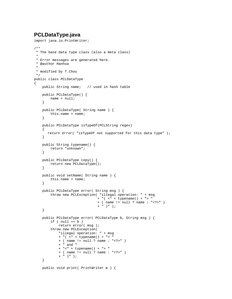# **PCLDataType.java**

```
import java.io.PrintWriter; 
/** 
 * The base data type class (also a meta class) 
 * 
  * Error messages are generated here. 
  * @author Hanhua 
 * 
  * modified by T.Chou 
  */ 
public class PCLDataType 
{ 
     public String name; // used in hash table 
     public PCLDataType() { 
         name = null; 
 } 
     public PCLDataType( String name ) { 
        this.name = name;
     } 
     public PCLDataType isTypeOf(PCLString regex) 
\{ return error( "isTypeOf not supported for this data type" ); 
     } 
     public String typename() { 
         return "unknown"; 
     } 
     public PCLDataType copy() { 
         return new PCLDataType(); 
     } 
     public void setName( String name ) { 
         this.name = name; 
     } 
     public PCLDataType error( String msg ) { 
         throw new PCLException( "illegal operation: " + msg 
                                  + "( <" + typename() + "> " 
                                   + ( name != null ? name : "<?>" ) 
                                  + " ) " );
     } 
     public PCLDataType error( PCLDataType b, String msg ) { 
        if ( null == b )
             return error( msg ); 
         throw new PCLException( 
              "illegal operation: " + msg 
              + "( <" + typename() + "> " 
              + ( name != null ? name : "<?>" ) 
             ^{\circ} " \, and ^{\circ} + "<" + typename() + "> " 
             + ( name != null ? name : "<?>" ) 
             + " ) " );
     } 
     public void print( PrintWriter w ) {
```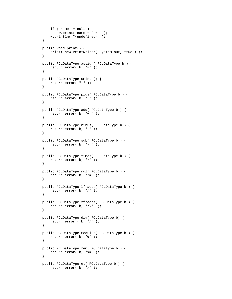```
if ( name != null )
        w.print( name + " = " );
     w.println( "<undefined>" ); 
 } 
 public void print() { 
     print( new PrintWriter( System.out, true ) ); 
 } 
 public PCLDataType assign( PCLDataType b ) { 
    return error( b, "=" ); 
 } 
 public PCLDataType uminus() { 
    return error( "-" ); 
 } 
 public PCLDataType plus( PCLDataType b ) { 
   return error( b, "+" ); 
 } 
 public PCLDataType add( PCLDataType b ) { 
    return error( b, "+=" ); 
 } 
 public PCLDataType minus( PCLDataType b ) { 
    return error( b, "-" ); 
 } 
 public PCLDataType sub( PCLDataType b ) { 
     return error( b, "-=" ); 
 } 
 public PCLDataType times( PCLDataType b ) { 
    return error( b, "*" ); 
 } 
 public PCLDataType mul( PCLDataType b ) { 
     return error( b, "*=" ); 
 } 
 public PCLDataType lfracts( PCLDataType b ) { 
    return error( b, "/" ); 
 } 
 public PCLDataType rfracts( PCLDataType b ) { 
   return error( b, "/\n\langle " \rangle;
 } 
 public PCLDataType div( PCLDataType b) { 
     return error ( b, "/" ); 
 } 
 public PCLDataType modulus( PCLDataType b ) { 
     return error( b, "%" ); 
 } 
 public PCLDataType rem( PCLDataType b ) { 
     return error( b, "%=" ); 
 } 
 public PCLDataType gt( PCLDataType b ) { 
     return error( b, ">" );
```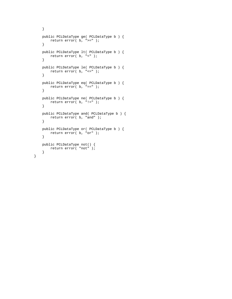```
 } 
 public PCLDataType ge( PCLDataType b ) { 
    return error( b, ">=" ); 
 } 
 public PCLDataType lt( PCLDataType b ) { 
    return error( b, "<" ); 
 } 
 public PCLDataType le( PCLDataType b ) { 
    return error( b, "<=" ); 
 } 
 public PCLDataType eq( PCLDataType b ) { 
    return error( b, "==" ); 
 } 
 public PCLDataType ne( PCLDataType b ) { 
   return error( b, "!=" ); 
 } 
 public PCLDataType and( PCLDataType b ) { 
    return error( b, "and" ); 
 } 
 public PCLDataType or( PCLDataType b ) { 
    return error( b, "or" ); 
 } 
 public PCLDataType not() { 
    return error( "not" ); 
 }
```
}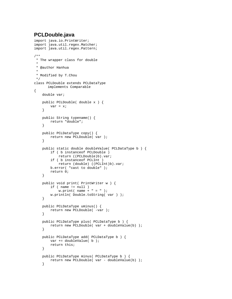# **PCLDouble.java**

```
import java.io.PrintWriter; 
import java.util.regex.Matcher; 
import java.util.regex.Pattern; 
/** 
 * The wrapper class for double 
 * 
  * @author Hanhua 
 * 
 * Modified by T.Chou 
 */ 
class PCLDouble extends PCLDataType 
       implements Comparable 
{ 
     double var; 
     public PCLDouble( double x ) { 
         var = x; 
     } 
     public String typename() { 
         return "double"; 
     } 
     public PCLDataType copy() { 
         return new PCLDouble( var ); 
     } 
     public static double doubleValue( PCLDataType b ) { 
         if ( b instanceof PCLDouble ) 
             return ((PCLDouble)b).var; 
         if ( b instanceof PCLInt ) 
             return (double) ((PCLInt)b).var; 
         b.error( "cast to double" ); 
         return 0; 
     } 
     public void print( PrintWriter w ) { 
         if ( name != null ) 
            w.print( name + " = " );
         w.println( Double.toString( var ) ); 
     } 
     public PCLDataType uminus() { 
        return new PCLDouble( -var );
     } 
     public PCLDataType plus( PCLDataType b ) { 
         return new PCLDouble( var + doubleValue(b) ); 
     } 
     public PCLDataType add( PCLDataType b ) { 
         var += doubleValue( b ); 
         return this; 
     } 
     public PCLDataType minus( PCLDataType b ) { 
        return new PCLDouble( var - doubleValue(b) );
     }
```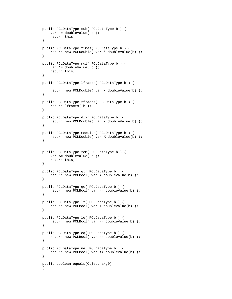```
 public PCLDataType sub( PCLDataType b ) { 
        var - doubleValue( b);
         return this; 
     } 
    public PCLDataType times( PCLDataType b ) { 
        return new PCLDouble( var * doubleValue(b) ); 
     } 
    public PCLDataType mul( PCLDataType b ) { 
         var *= doubleValue( b ); 
         return this; 
     } 
    public PCLDataType lfracts( PCLDataType b ) { 
         return new PCLDouble( var / doubleValue(b) ); 
     } 
    public PCLDataType rfracts( PCLDataType b ) { 
        return lfracts( b ); 
 } 
    public PCLDataType div( PCLDataType b) { 
         return new PCLDouble( var / doubleValue(b) ); 
     } 
    public PCLDataType modulus( PCLDataType b ) { 
        return new PCLDouble( var % doubleValue(b) ); 
     } 
    public PCLDataType rem( PCLDataType b ) { 
        var %= doubleValue( b ); 
        return this; 
     } 
    public PCLDataType gt( PCLDataType b ) { 
         return new PCLBool( var > doubleValue(b) ); 
     } 
    public PCLDataType ge( PCLDataType b ) { 
        return new PCLBool( var >= doubleValue(b) ); 
     } 
    public PCLDataType lt( PCLDataType b ) { 
        return new PCLBool( var < doubleValue(b) ); 
     } 
    public PCLDataType le( PCLDataType b ) { 
         return new PCLBool( var <= doubleValue(b) ); 
     } 
    public PCLDataType eq( PCLDataType b ) { 
         return new PCLBool( var == doubleValue(b) ); 
     } 
    public PCLDataType ne( PCLDataType b ) { 
         return new PCLBool( var != doubleValue(b) ); 
     } 
    public boolean equals(Object arg0) 
    \left\{ \right.
```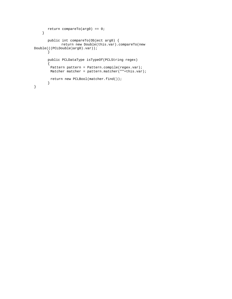```
 return compareTo(arg0) == 0; 
     } 
        public int compareTo(Object arg0) { 
              return new Double(this.var).compareTo(new 
Double(((PCLDouble)arg0).var)); 
        } 
        public PCLDataType isTypeOf(PCLString regex) 
        { 
        Pattern pattern = Pattern.compile(regex.var);
        Matcher matcher = pattern.matcher(""+this.var);
         return new PCLBool(matcher.find()); 
        } 
}
```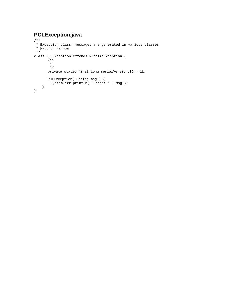# **PCLException.java**

```
/** 
 * Exception class: messages are generated in various classes 
 * @author Hanhua 
 */ 
class PCLException extends RuntimeException { 
 /** 
\star */ 
       private static final long serialVersionUID = 1L; 
 PCLException( String msg ) { 
 System.err.println( "Error: " + msg ); 
     } 
}
```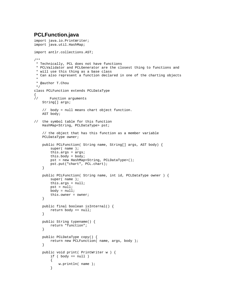# **PCLFunction.java**

```
import java.io.PrintWriter; 
import java.util.HashMap; 
import antlr.collections.AST; 
/** 
 * Technically, PCL does not have functions 
 * PCLValidator and PCLGenerator are the closest thing to functions and 
 * will use this thing as a base class 
  * Can also represent a function declared in one of the charting objects 
 * 
  * @author T.Chou 
  */ 
class PCLFunction extends PCLDataType 
{ 
// Function arguments 
     String[] args; 
     // body = null means chart object function. 
     AST body; 
// the symbol table for this function 
     HashMap<String, PCLDataType> pst; 
     // the object that has this function as a member variable 
     PCLDataType owner; 
     public PCLFunction( String name, String[] args, AST body) { 
         super( name ); 
         this.args = args; 
         this.body = body; 
         pst = new HashMap<String, PCLDataType>(); 
         pst.put("chart", PCL.chart); 
     } 
     public PCLFunction( String name, int id, PCLDataType owner ) { 
         super( name ); 
         this.args = null; 
         pst = null; 
        body = null; this.owner = owner; 
     } 
     public final boolean isInternal() { 
         return body == null; 
 } 
     public String typename() { 
         return "function"; 
     } 
     public PCLDataType copy() { 
         return new PCLFunction( name, args, body ); 
     } 
     public void print( PrintWriter w ) { 
        if ( body == null )
         { 
             w.println( name ); 
         }
```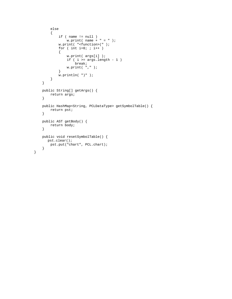```
 else 
         { 
            if ( name != null )
                w.print( name + " = " );
             w.print( "<function>(" ); 
            for ( int i=0; ; i++ )
              { 
                  w.print( args[i] ); 
                  if ( i >= args.length - 1 ) 
                     break; 
              w.print( "," ); 
 } 
            w.\text{println}( " ) " );
        } 
    } 
    public String[] getArgs() { 
        return args; 
     } 
    public HashMap<String, PCLDataType> getSymbolTable() { 
        return pst; 
     } 
    public AST getBody() { 
        return body; 
     } 
    public void resetSymbolTable() { 
       pst.clear(); 
        pst.put("chart", PCL.chart); 
    }
```
}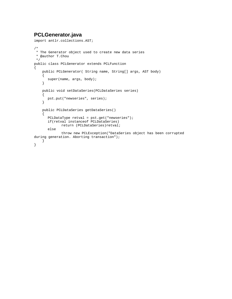# **PCLGenerator.java**

```
import antlr.collections.AST; 
/* 
 * The Generator object used to create new data series 
 * @author T.Chou 
 */ 
public class PCLGenerator extends PCLFunction 
{ 
     public PCLGenerator( String name, String[] args, AST body) 
     { 
        super(name, args, body); 
     } 
     public void setDataSeries(PCLDataSeries series) 
     { 
       pst.put("newseries", series); 
     } 
     public PCLDataSeries getDataSeries() 
     { 
        PCLDataType retval = pst.get("newseries"); 
        if(retval instanceof PCLDataSeries) 
               return (PCLDataSeries)retval; 
        else 
               throw new PCLException("DataSeries object has been corrupted 
during generation. Aborting transaction");
     } 
}
```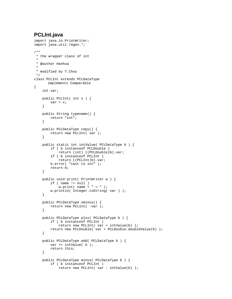# **PCLInt.java**

```
import java.io.PrintWriter; 
import java.util.regex.*; 
/** 
 * the wrapper class of int 
  * 
  * @author Hanhua 
 * 
  * modified by T.Chou 
 */ 
class PCLInt extends PCLDataType 
       implements Comparable 
{ 
     int var; 
     public PCLInt( int x ) { 
         var = x; 
     } 
     public String typename() { 
         return "int"; 
     } 
     public PCLDataType copy() { 
         return new PCLInt( var ); 
     } 
     public static int intValue( PCLDataType b ) { 
         if ( b instanceof PCLDouble ) 
             return (int) ((PCLDouble)b).var; 
         if ( b instanceof PCLInt ) 
             return ((PCLInt)b).var; 
         b.error( "cast to int" ); 
         return 0; 
     } 
     public void print( PrintWriter w ) { 
        if ( name := null )
            w.print( name + " = " );
         w.println( Integer.toString( var ) ); 
     } 
     public PCLDataType uminus() { 
         return new PCLInt( -var ); 
     } 
     public PCLDataType plus( PCLDataType b ) { 
         if ( b instanceof PCLInt ) 
              return new PCLInt( var + intValue(b) ); 
         return new PCLDouble( var + PCLDouble.doubleValue(b) ); 
     } 
     public PCLDataType add( PCLDataType b ) { 
         var += intValue( b ); 
         return this; 
     } 
     public PCLDataType minus( PCLDataType b ) { 
         if ( b instanceof PCLInt ) 
            return new PCLInt( var - intValue(b) );
```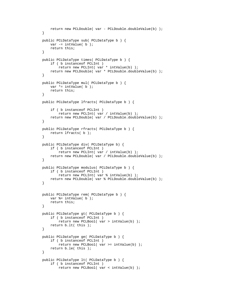```
 return new PCLDouble( var - PCLDouble.doubleValue(b) ); 
 } 
 public PCLDataType sub( PCLDataType b ) { 
    var -= intValue( b );
     return this; 
 } 
 public PCLDataType times( PCLDataType b ) { 
     if ( b instanceof PCLInt ) 
         return new PCLInt( var * intValue(b) ); 
     return new PCLDouble( var * PCLDouble.doubleValue(b) ); 
 } 
 public PCLDataType mul( PCLDataType b ) { 
    var *= intValue( b);
     return this; 
 } 
 public PCLDataType lfracts( PCLDataType b ) { 
     if ( b instanceof PCLInt ) 
         return new PCLInt( var / intValue(b) ); 
     return new PCLDouble( var / PCLDouble.doubleValue(b) ); 
 } 
 public PCLDataType rfracts( PCLDataType b ) { 
     return lfracts( b ); 
 } 
 public PCLDataType div( PCLDataType b) { 
     if ( b instanceof PCLInt ) 
         return new PCLInt( var / intValue(b) ); 
     return new PCLDouble( var / PCLDouble.doubleValue(b) ); 
 } 
 public PCLDataType modulus( PCLDataType b ) { 
     if ( b instanceof PCLInt ) 
         return new PCLInt( var % intValue(b) ); 
     return new PCLDouble( var % PCLDouble.doubleValue(b) ); 
 } 
 public PCLDataType rem( PCLDataType b ) { 
     var %= intValue( b ); 
     return this; 
 } 
 public PCLDataType gt( PCLDataType b ) { 
     if ( b instanceof PCLInt ) 
         return new PCLBool( var > intValue(b) ); 
     return b.lt( this ); 
 } 
 public PCLDataType ge( PCLDataType b ) { 
     if ( b instanceof PCLInt ) 
         return new PCLBool( var >= intValue(b) ); 
     return b.le( this ); 
 } 
 public PCLDataType lt( PCLDataType b ) { 
     if ( b instanceof PCLInt ) 
         return new PCLBool( var < intValue(b) );
```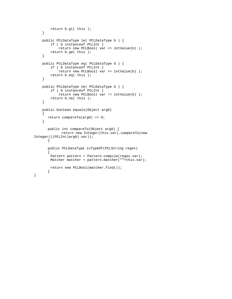```
 return b.gt( this ); 
     } 
     public PCLDataType le( PCLDataType b ) { 
         if ( b instanceof PCLInt ) 
             return new PCLBool( var <= intValue(b) ); 
         return b.ge( this ); 
     } 
     public PCLDataType eq( PCLDataType b ) { 
         if ( b instanceof PCLInt ) 
             return new PCLBool( var == intValue(b) ); 
         return b.eq( this ); 
     } 
     public PCLDataType ne( PCLDataType b ) { 
         if ( b instanceof PCLInt ) 
             return new PCLBool( var != intValue(b) ); 
         return b.ne( this ); 
     } 
     public boolean equals(Object arg0) 
     { 
       return compareTo(arg0) == 0; 
     } 
        public int compareTo(Object arg0) { 
               return new Integer(this.var).compareTo(new 
Integer(((PCLInt)arg0).var)); 
        } 
       public PCLDataType isTypeOf(PCLString regex) 
        { 
        Pattern pattern = Pattern.compile(regex.var);
        Matcher matcher = pattern.matcher(""+this.var);
         return new PCLBool(matcher.find()); 
        }
```
}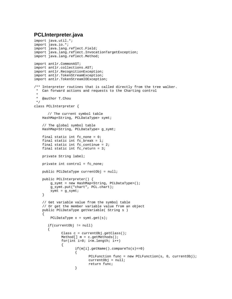## **PCLInterpreter.java**

```
import java.util.*; 
import java.io.*; 
import java.lang.reflect.Field; 
import java.lang.reflect.InvocationTargetException; 
import java.lang.reflect.Method; 
import antlr.CommonAST; 
import antlr.collections.AST; 
import antlr.RecognitionException; 
import antlr.TokenStreamException; 
import antlr.TokenStreamIOException; 
/** Interpreter routines that is called directly from the tree walker. 
 * Can forward actions and requests to the Charting control 
 * 
  * @author T.Chou 
 */ 
class PCLInterpreter { 
       // The current symbol table 
    HashMap<String, PCLDataType> symt; 
     // The global symbol table 
   HashMap<String, PCLDataType> q symt;
    final static int fc_none = 0; 
    final static int fc_break = 1; 
   final static int fc\_continue = 2;
   final static int fc return = 3;
    private String label; 
    private int control = fc_none; 
    public PCLDataType currentObj = null; 
    public PCLInterpreter() { 
         g_symt = new HashMap<String, PCLDataType>(); 
         g_symt.put("chart", PCL.chart); 
        symt = ggymt;
     } 
     // Get variable value from the symbol table 
    // Or get the member variable value from an object 
    public PCLDataType getVariable( String s ) 
     { 
        PCLDataType x = symt.get(s);
       if(currentObj != null) 
       { 
             Class c = currentObj.getClass();
              Method[] m = c.getMethods(); 
              for(int i=0; i<m.length; i++) 
\{ if(m[i].getName().compareTo(s)==0) 
\{PCLFunction func = new PCLFunction(s, 0, currentObj);
                            currentObj = null; 
                    return func;<br>}
 }
```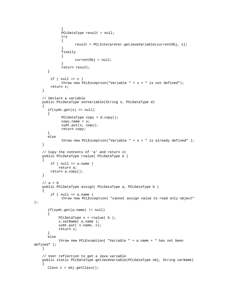```
 } 
               PCLDataType result = null; 
               try 
               { 
              result = PCLInterpreter.getJavaVariable(currentObj, s);<br>}
 } 
               finally 
               { 
                      currentObj = null; 
 } 
               return result; 
        } 
        if ( null == x )
             throw new PCLException("Variable " + s + " is not defined");
         return x; 
     } 
     // Declare a variable 
     public PCLDataType setVariable(String s, PCLDataType d) 
    \{ if(symt.get(s) == null) 
        { 
               PCLDataType copy = d.copy(); 
              copy.name = si symt.put(s, copy); 
               return copy; 
        } 
       else 
              throw new PCLException("Variable " + s + " is already defined" );
     } 
     // Copy the contents of 'a' and return it 
     public PCLDataType rvalue( PCLDataType a ) 
     { 
         if ( null == a.name ) 
             return a; 
         return a.copy(); 
     } 
    // a = b public PCLDataType assign( PCLDataType a, PCLDataType b ) 
\{ if ( null == a.name ) 
               throw new PCLException( "cannot assign value to read only object" 
); 
        if(symt.get(a.name) != null) 
        { 
            PCLDataType x = \text{rvalue}(\ b);
             x.setName( a.name ); 
             symt.put( x.name, x); 
             return x; 
        } 
       else 
             throw new PCLException( "Variable " + a.name + " has not been 
defined" ); 
     } 
     // User reflection to get a Java variable 
     public static PCLDataType getJavaVariable(PCLDataType obj, String varName) 
     { 
       Class c = obj.getClass();
```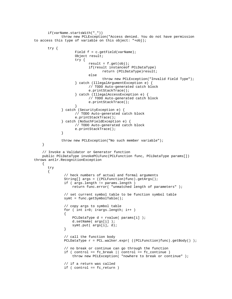```
 if(varName.startsWith("_")) 
              throw new PCLException("Access denied. You do not have permission 
to access this type of variable on this object: "+obj); 
       try { 
                    Field f = c.getField(varName);
                     Object result; 
                     try { 
                            result = f.get(obj); 
                            if(result instanceof PCLDataType) 
                                   return (PCLDataType)result; 
                            else 
                                   throw new PCLException("Invalid Field Type"); 
                     } catch (IllegalArgumentException e) { 
                            // TODO Auto-generated catch block 
                            e.printStackTrace(); 
                     } catch (IllegalAccessException e) { 
                            // TODO Auto-generated catch block 
                    e.printStackTrace();<br>}
 } 
              } catch (SecurityException e) { 
                     // TODO Auto-generated catch block 
                     e.printStackTrace(); 
              } catch (NoSuchFieldException e) { 
                     // TODO Auto-generated catch block 
             e.printStackTrace();<br>}
 } 
              throw new PCLException("No such member variable"); 
     } 
     // Invoke a Validator or Generator function 
     public PCLDataType invokePCLFunc(PCLFunction func, PCLDataType params[]) 
throws antlr.RecognitionException 
     { 
       try 
        { 
                // heck numbers of actual and formal arguments 
                String[] args = ((PCLFunction)func).getArgs(); 
                if ( args.length != params.length ) 
                    return func.error( "unmatched length of parameters" ); 
                // set current symbol table to be function symbol table 
                symt = func.getSymbolTable(); 
                // copy args to symbol table 
                for ( int i=0; i<args.length; i++ ) 
\{ PCLDataType d = rvalue( params[i] ); 
                    d.setName( args[i] ); 
                    symt.put( args[i], d); 
 } 
                // call the function body 
                PCLDataType r = PCL.walker.expr( ((PCLFunction)func).getBody() ); 
                // no break or continue can go through the function 
               if ( control == fc\_break || control == fc\_continue )
                    throw new PCLException( "nowhere to break or continue" ); 
                // if a return was called 
                if ( control == fc_return )
```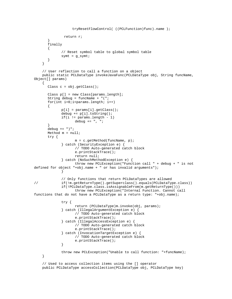```
 tryResetFlowControl( ((PCLFunction)func).name ); 
                return r; 
        } 
       finally 
        { 
               // Reset symbol table to global symbol table 
              symt = g_symt;
        } 
     } 
     // User reflection to call a function on a object 
     public static PCLDataType invokeJavaFunc(PCLDataType obj, String funcName, 
Object[] params) 
     { 
       Class c = obj.getClass(); 
       Class p[] = new Class[params.length]; 
       String debug = funcName + "("; 
      for(int i=0; i<params.length; i++)
        { 
               p[i] = params[i].getClass(); 
               debug += p[i].toString(); 
              if(i != params.length - 1)debug += ", ";
 } 
       debug += ")"; 
       Method m = null; 
       try { 
                    m = c. getMethod(funcName, p);
               } catch (SecurityException e) { 
                      // TODO Auto-generated catch block 
                      e.printStackTrace(); 
                     return null; 
               } catch (NoSuchMethodException e) { 
                     throw new PCLException("Function call " + debug + " is not 
defined for object "+obj.name + " or has invalid arguments"); 
 } 
               // Only functions that return PCLDataTypes are allowed 
// if(!m.getReturnType().getSuperclass().equals(PCLDataType.class)) 
               if(!PCLDataType.class.isAssignableFrom(m.getReturnType())) 
                     throw new PCLException("Internal Function. Cannot call 
functions that do not have a PCLDataType as a return type: "+obj.name); 
               try { 
                     return (PCLDataType)m.invoke(obj, params); 
               } catch (IllegalArgumentException e) { 
                     // TODO Auto-generated catch block 
                     e.printStackTrace(); 
               } catch (IllegalAccessException e) { 
                      // TODO Auto-generated catch block 
                      e.printStackTrace(); 
               } catch (InvocationTargetException e) { 
                      // TODO Auto-generated catch block 
              e.printStackTrace();<br>}
 } 
               throw new PCLException("Unable to call function: "+funcName); 
     } 
     // Used to access collection items using the [] operator 
     public PCLDataType accessCollection(PCLDataType obj, PCLDataType key)
```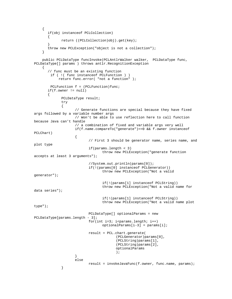```
 { 
       if(obj instanceof PCLCollection) 
\{ return ((PCLCollection)obj).get(key); 
 } 
       throw new PCLException("object is not a collection"); 
     } 
    public PCLDataType funcInvoke(PCLAntlrWalker walker, PCLDataType func, 
PCLDataType[] params ) throws antlr.RecognitionException 
     { 
       // func must be an existing function 
        if ( !( func instanceof PCLFunction ) ) 
            return func.error( "not a function" ); 
       PCLFunction f = (PCLFunction)func; if(f.owner != null) 
\{ PCLDataType result; 
              try 
\{ // Generate functions are special because they have fixed 
args followed by a variable number args 
                     // Won't be able to use reflection here to call function 
because Java can't handle 
                    // a combination of fixed and variable args very well 
                    if(f.name.compareTo("generate")==0 && f.owner instanceof 
PCLChart) 
\{ // First 3 should be generator name, series name, and 
plot type 
                           if(params.length < 3) 
                                 throw new PCLException("generate function 
accepts at least 3 arguments"); 
                           //System.out.println(params[0]); 
                           if(!(params[0] instanceof PCLGenerator)) 
                                  throw new PCLException("Not a valid 
generator"); 
                                  if(!(params[1] instanceof PCLString)) 
                                  throw new PCLException("Not a valid name for 
data series"); 
                                  if(!(params[1] instanceof PCLString)) 
                                  throw new PCLException("Not a valid name plot 
type"); 
                           PCLDataType[] optionalParams = new 
PCLDataType[params.length - 3]; 
                          for(int i=3; i<params.length; i++) optionalParams[i-3] = params[i]; 
                           result = PCL.chart.generate( 
                                        (PCLGenerator)params[0], 
                                        (PCLString)params[1], 
                                        (PCLString)params[2], 
                                        optionalParams 
) \mathbf{i} } 
                    else 
             result = invokeJavaFunc(f.owner, func.name, params);<br>}
 }
```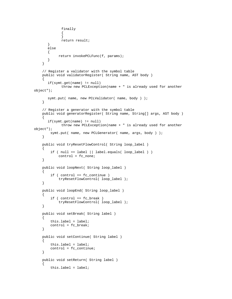```
 finally 
\{ } 
                return result; 
        } 
        else 
        { 
              return invokePCLFunc(f, params); 
        } 
     } 
     // Register a validator with the symbol table 
     public void validatorRegister( String name, AST body ) 
\{ if(symt.get(name) != null) 
                throw new PCLException(name + " is already used for another 
object"); 
        symt.put( name, new PCLValidator( name, body ) ); 
     } 
     // Register a generator with the symbol table 
     public void generatorRegister( String name, String[] args, AST body ) 
    \left\{ \right. if(symt.get(name) != null) 
                throw new PCLException(name + " is already used for another 
object"); 
        symt.put( name, new PCLGenerator( name, args, body ) );
     } 
     public void tryResetFlowControl( String loop_label ) 
     { 
         if ( null == label || label.equals( loop_labels) || control = fc_none; 
     } 
     public void loopNext( String loop_label ) 
\{ if ( control == fc_continue ) 
              tryResetFlowControl( loop_label ); 
     } 
     public void loopEnd( String loop_label ) 
\left\{\begin{array}{ccc} \end{array}\right\}if ( control == fc break )
              tryResetFlowControl( loop_label ); 
     } 
     public void setBreak( String label ) 
\left\{\begin{array}{ccc} \end{array}\right\} this.label = label; 
          control = fc_break; 
 } 
     public void setContinue( String label ) 
     { 
          this.label = label; 
          control = fc_continue; 
 } 
     public void setReturn( String label ) 
     { 
          this.label = label;
```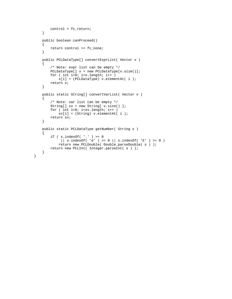```
 control = fc_return; 
 } 
 public boolean canProceed() 
 { 
     return control == fc_none; 
 } 
 public PCLDataType[] convertExprList( Vector v ) 
 { 
     /* Note: expr list can be empty */ 
     PCLDataType[] x = new PCLDataType[v.size()]; 
    for ( int i=0; i < x.length; i++ )
         x[i] = (PCLDataType) v.elementAt( i ); 
     return x; 
 } 
 public static String[] convertVarList( Vector v ) 
 { 
     /* Note: var list can be empty */ 
     String[] sv = new String[ v.size() ]; 
    for ( int i=0; i< sv.length; i++)sv[i] = (String) v.elementAt(i);
     return sv; 
 } 
 public static PCLDataType getNumber( String s ) 
 { 
    if (s.indexOf('.'') >= 0|| s.indexOf( 'e' ) >= 0 || s.indexOf( 'E' ) >= 0 )
         return new PCLDouble( Double.parseDouble( s ) ); 
     return new PCLInt( Integer.parseInt( s ) ); 
 }
```
}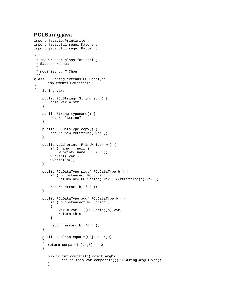# **PCLString.java**

```
import java.io.PrintWriter; 
import java.util.regex.Matcher; 
import java.util.regex.Pattern; 
/** 
 * the wrapper class for string 
 * @author Hanhua 
 * 
 * modified by T.Chou 
 */ 
class PCLString extends PCLDataType 
       implements Comparable 
{ 
     String var; 
     public PCLString( String str ) { 
         this.var = str; 
     } 
     public String typename() { 
         return "string"; 
     } 
     public PCLDataType copy() { 
         return new PCLString( var ); 
     } 
     public void print( PrintWriter w ) { 
        if ( name := null )
            w.print( name + " = " );
         w.print( var ); 
         w.println(); 
     } 
     public PCLDataType plus( PCLDataType b ) { 
         if ( b instanceof PCLString ) 
              return new PCLString( var + ((PCLString)b).var ); 
         return error( b, "+" ); 
     } 
     public PCLDataType add( PCLDataType b ) { 
         if ( b instanceof PCLString ) 
          { 
              var = var + ((PCLString)b).var; 
              return this; 
          } 
         return error( b, "+=" ); 
     } 
     public boolean equals(Object arg0) 
    \mathcal{L} return compareTo(arg0) == 0; 
     } 
        public int compareTo(Object arg0) { 
               return this.var.compareTo(((PCLString)arg0).var); 
        }
```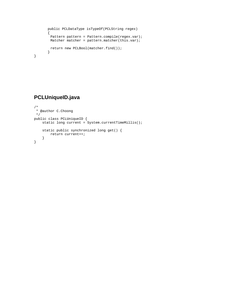```
 public PCLDataType isTypeOf(PCLString regex) 
        { 
        Pattern pattern = Pattern.compile(regex.var);
        Matcher matcher = pattern.matcher(this.var);
         return new PCLBool(matcher.find()); 
        } 
}
```
# **PCLUniqueID.java**

```
/* 
 * @author C.Choong 
 */ 
public class PCLUniqueID { 
   static long current = System.currentTimeMillis();
     static public synchronized long get() { 
    return current++;<br>}
 } 
}
```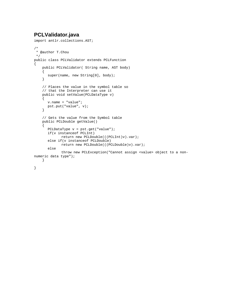# **PCLValidator.java**

```
import antlr.collections.AST; 
/* 
 * @author T.Chou 
 */ 
public class PCLValidator extends PCLFunction 
{ 
     public PCLValidator( String name, AST body) 
     { 
        super(name, new String[0], body); 
     } 
     // Places the value in the symbol table so 
     // that the Interpreter can use it 
     public void setValue(PCLDataType v) 
     { 
        v.name = "value"; 
        pst.put("value", v); 
     } 
     // Gets the value from the Symbol table 
     public PCLDouble getValue() 
    \{ PCLDataType v = pst.get("value"); 
        if(v instanceof PCLInt) 
               return new PCLDouble(((PCLInt)v).var); 
        else if(v instanceof PCLDouble) 
               return new PCLDouble(((PCLDouble)v).var); 
        else 
               throw new PCLException("Cannot assign <value> object to a non-
numeric data type"); 
     } 
}
```